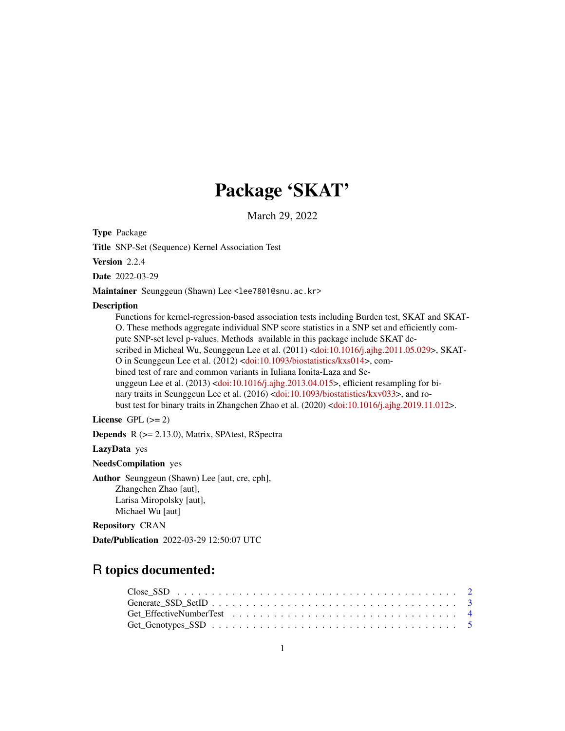# Package 'SKAT'

March 29, 2022

Type Package

Title SNP-Set (Sequence) Kernel Association Test

Version 2.2.4

Date 2022-03-29

Maintainer Seunggeun (Shawn) Lee <lee7801@snu.ac.kr>

#### **Description**

Functions for kernel-regression-based association tests including Burden test, SKAT and SKAT-O. These methods aggregate individual SNP score statistics in a SNP set and efficiently compute SNP-set level p-values. Methods available in this package include SKAT described in Micheal Wu, Seunggeun Lee et al. (2011) [<doi:10.1016/j.ajhg.2011.05.029>](https://doi.org/10.1016/j.ajhg.2011.05.029), SKAT-O in Seunggeun Lee et al. (2012) [<doi:10.1093/biostatistics/kxs014>](https://doi.org/10.1093/biostatistics/kxs014), combined test of rare and common variants in Iuliana Ionita-Laza and Seunggeun Lee et al. (2013) [<doi:10.1016/j.ajhg.2013.04.015>](https://doi.org/10.1016/j.ajhg.2013.04.015), efficient resampling for bi-nary traits in Seunggeun Lee et al. (2016) [<doi:10.1093/biostatistics/kxv033>](https://doi.org/10.1093/biostatistics/kxv033), and robust test for binary traits in Zhangchen Zhao et al. (2020) [<doi:10.1016/j.ajhg.2019.11.012>](https://doi.org/10.1016/j.ajhg.2019.11.012).

# License GPL  $(>= 2)$

Depends R (>= 2.13.0), Matrix, SPAtest, RSpectra

LazyData yes

NeedsCompilation yes

Author Seunggeun (Shawn) Lee [aut, cre, cph], Zhangchen Zhao [aut], Larisa Miropolsky [aut], Michael Wu [aut]

Repository CRAN

Date/Publication 2022-03-29 12:50:07 UTC

# R topics documented: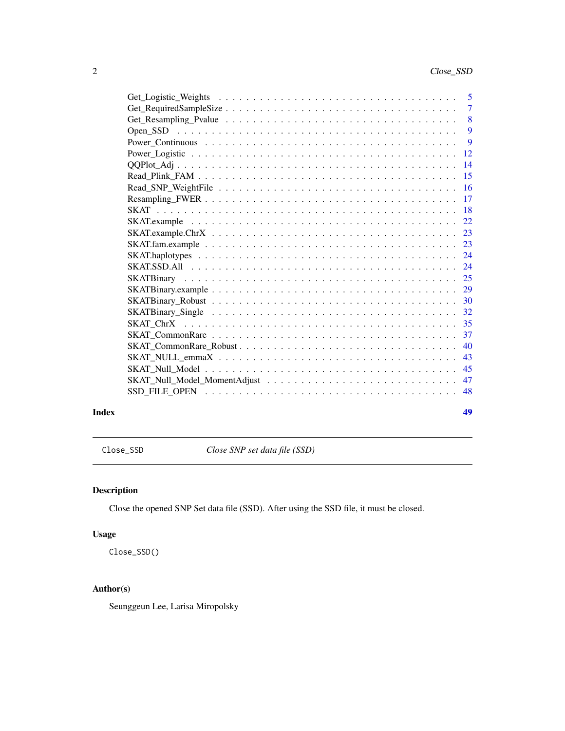<span id="page-1-0"></span>

|       | 43 |
|-------|----|
|       |    |
|       |    |
|       |    |
|       |    |
| Index | 49 |

Close\_SSD *Close SNP set data file (SSD)*

# Description

Close the opened SNP Set data file (SSD). After using the SSD file, it must be closed.

# Usage

Close\_SSD()

# Author(s)

Seunggeun Lee, Larisa Miropolsky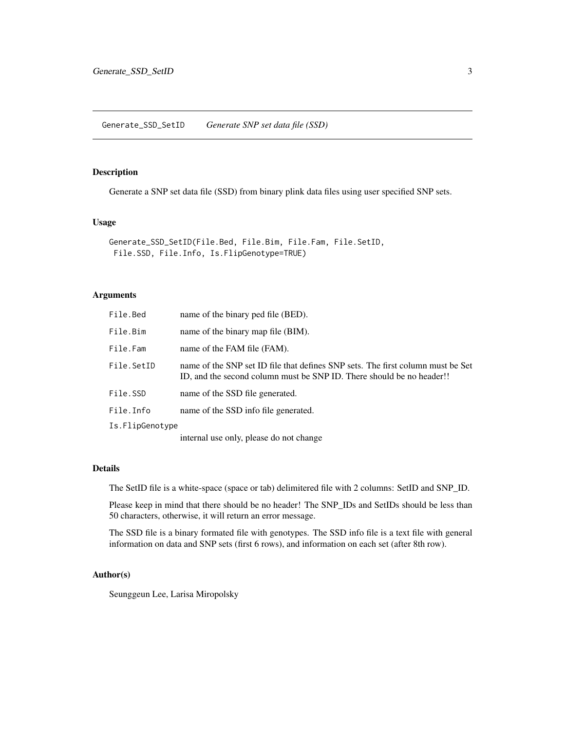<span id="page-2-0"></span>Generate a SNP set data file (SSD) from binary plink data files using user specified SNP sets.

# Usage

```
Generate_SSD_SetID(File.Bed, File.Bim, File.Fam, File.SetID,
File.SSD, File.Info, Is.FlipGenotype=TRUE)
```
# Arguments

| File.Bed        | name of the binary ped file (BED).                                                                                                                       |
|-----------------|----------------------------------------------------------------------------------------------------------------------------------------------------------|
| File.Bim        | name of the binary map file (BIM).                                                                                                                       |
| File.Fam        | name of the FAM file (FAM).                                                                                                                              |
| File.SetID      | name of the SNP set ID file that defines SNP sets. The first column must be Set<br>ID, and the second column must be SNP ID. There should be no header!! |
| File.SSD        | name of the SSD file generated.                                                                                                                          |
| File.Info       | name of the SSD info file generated.                                                                                                                     |
| Is.FlipGenotype |                                                                                                                                                          |
|                 |                                                                                                                                                          |

internal use only, please do not change

#### Details

The SetID file is a white-space (space or tab) delimitered file with 2 columns: SetID and SNP\_ID.

Please keep in mind that there should be no header! The SNP\_IDs and SetIDs should be less than 50 characters, otherwise, it will return an error message.

The SSD file is a binary formated file with genotypes. The SSD info file is a text file with general information on data and SNP sets (first 6 rows), and information on each set (after 8th row).

#### Author(s)

Seunggeun Lee, Larisa Miropolsky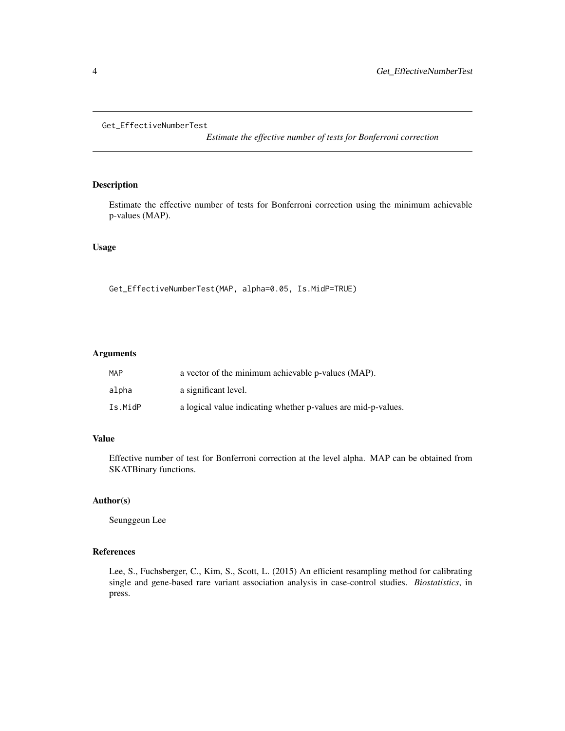```
Get_EffectiveNumberTest
```
*Estimate the effective number of tests for Bonferroni correction*

#### Description

Estimate the effective number of tests for Bonferroni correction using the minimum achievable p-values (MAP).

# Usage

Get\_EffectiveNumberTest(MAP, alpha=0.05, Is.MidP=TRUE)

# Arguments

| MAP     | a vector of the minimum achievable p-values (MAP).            |
|---------|---------------------------------------------------------------|
| alpha   | a significant level.                                          |
| Is.MidP | a logical value indicating whether p-values are mid-p-values. |

# Value

Effective number of test for Bonferroni correction at the level alpha. MAP can be obtained from SKATBinary functions.

# Author(s)

Seunggeun Lee

# References

Lee, S., Fuchsberger, C., Kim, S., Scott, L. (2015) An efficient resampling method for calibrating single and gene-based rare variant association analysis in case-control studies. *Biostatistics*, in press.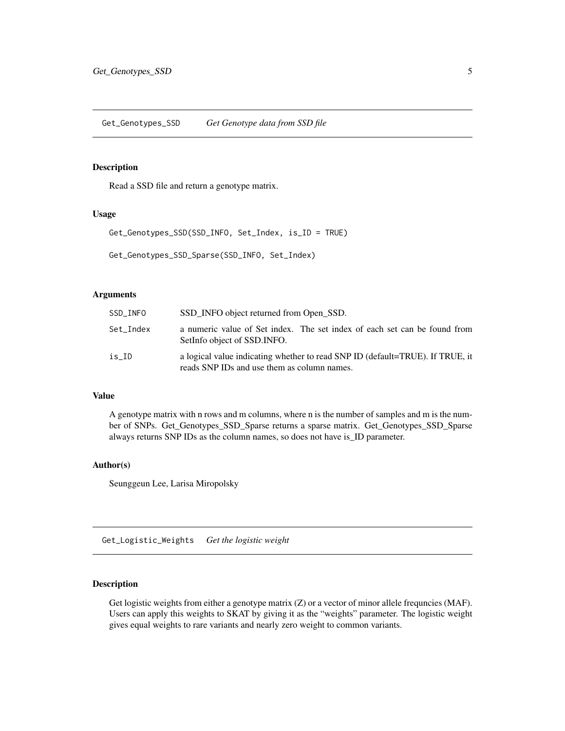<span id="page-4-0"></span>Get\_Genotypes\_SSD *Get Genotype data from SSD file*

### Description

Read a SSD file and return a genotype matrix.

#### Usage

```
Get_Genotypes_SSD(SSD_INFO, Set_Index, is_ID = TRUE)
```

```
Get_Genotypes_SSD_Sparse(SSD_INFO, Set_Index)
```
#### Arguments

| SSD INFO  | SSD_INFO object returned from Open_SSD.                                                                                      |
|-----------|------------------------------------------------------------------------------------------------------------------------------|
| Set Index | a numeric value of Set index. The set index of each set can be found from<br>SetInfo object of SSD. INFO.                    |
| is ID     | a logical value indicating whether to read SNP ID (default=TRUE). If TRUE, it<br>reads SNP IDs and use them as column names. |

# Value

A genotype matrix with n rows and m columns, where n is the number of samples and m is the number of SNPs. Get\_Genotypes\_SSD\_Sparse returns a sparse matrix. Get\_Genotypes\_SSD\_Sparse always returns SNP IDs as the column names, so does not have is\_ID parameter.

#### Author(s)

Seunggeun Lee, Larisa Miropolsky

Get\_Logistic\_Weights *Get the logistic weight*

# Description

Get logistic weights from either a genotype matrix (Z) or a vector of minor allele frequncies (MAF). Users can apply this weights to SKAT by giving it as the "weights" parameter. The logistic weight gives equal weights to rare variants and nearly zero weight to common variants.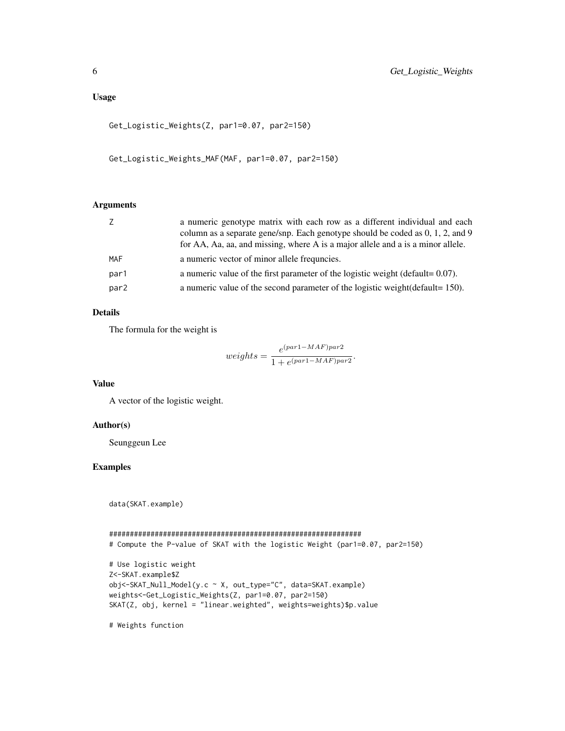#### Usage

```
Get_Logistic_Weights(Z, par1=0.07, par2=150)
```
Get\_Logistic\_Weights\_MAF(MAF, par1=0.07, par2=150)

## Arguments

| Ζ                | a numeric genotype matrix with each row as a different individual and each        |
|------------------|-----------------------------------------------------------------------------------|
|                  | column as a separate gene/snp. Each genotype should be coded as 0, 1, 2, and 9    |
|                  | for AA, Aa, aa, and missing, where A is a major allele and a is a minor allele.   |
| <b>MAF</b>       | a numeric vector of minor allele frequesies.                                      |
| par1             | a numeric value of the first parameter of the logistic weight (default= $0.07$ ). |
| par <sub>2</sub> | a numeric value of the second parameter of the logistic weight (default = 150).   |

### Details

The formula for the weight is

$$
weights = \frac{e^{(par1 - MAF)par2}}{1 + e^{(par1 - MAF)par2}}.
$$

#### Value

A vector of the logistic weight.

#### Author(s)

Seunggeun Lee

# Examples

data(SKAT.example)

```
#############################################################
# Compute the P-value of SKAT with the logistic Weight (par1=0.07, par2=150)
# Use logistic weight
Z<-SKAT.example$Z
obj<-SKAT_Null_Model(y.c ~ X, out_type="C", data=SKAT.example)
weights<-Get_Logistic_Weights(Z, par1=0.07, par2=150)
SKAT(Z, obj, kernel = "linear.weighted", weights=weights)$p.value
```
# Weights function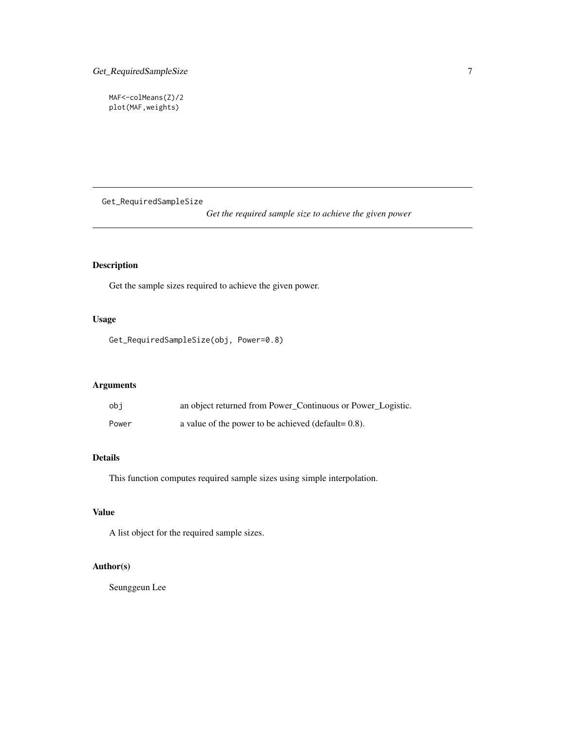<span id="page-6-0"></span>MAF<-colMeans(Z)/2 plot(MAF,weights)

Get\_RequiredSampleSize

*Get the required sample size to achieve the given power*

# Description

Get the sample sizes required to achieve the given power.

# Usage

Get\_RequiredSampleSize(obj, Power=0.8)

# Arguments

| obi   | an object returned from Power_Continuous or Power_Logistic. |
|-------|-------------------------------------------------------------|
| Power | a value of the power to be achieved (default= $0.8$ ).      |

# Details

This function computes required sample sizes using simple interpolation.

#### Value

A list object for the required sample sizes.

# Author(s)

Seunggeun Lee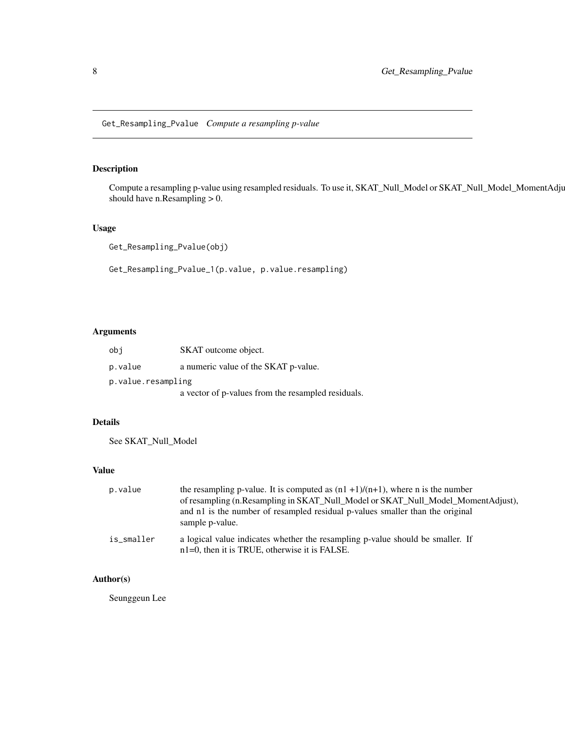<span id="page-7-0"></span>Get\_Resampling\_Pvalue *Compute a resampling p-value*

# Description

Compute a resampling p-value using resampled residuals. To use it, SKAT\_Null\_Model or SKAT\_Null\_Model\_MomentAdjust should have n. Resampling  $> 0$ .

# Usage

Get\_Resampling\_Pvalue(obj)

Get\_Resampling\_Pvalue\_1(p.value, p.value.resampling)

#### Arguments

| obi                | SKAT outcome object.                               |
|--------------------|----------------------------------------------------|
| p.value            | a numeric value of the SKAT p-value.               |
| p.value.resampling |                                                    |
|                    | a vector of p-values from the resampled residuals. |

# Details

See SKAT\_Null\_Model

# Value

| p.value    | the resampling p-value. It is computed as $(n1 + 1)/(n+1)$ , where n is the number                                                 |
|------------|------------------------------------------------------------------------------------------------------------------------------------|
|            | of resampling (n. Resampling in SKAT_Null_Model or SKAT_Null_Model_MomentAdjust),                                                  |
|            | and n1 is the number of resampled residual p-values smaller than the original<br>sample p-value.                                   |
| is_smaller | a logical value indicates whether the resampling p-value should be smaller. If<br>$n1=0$ , then it is TRUE, otherwise it is FALSE. |

# Author(s)

Seunggeun Lee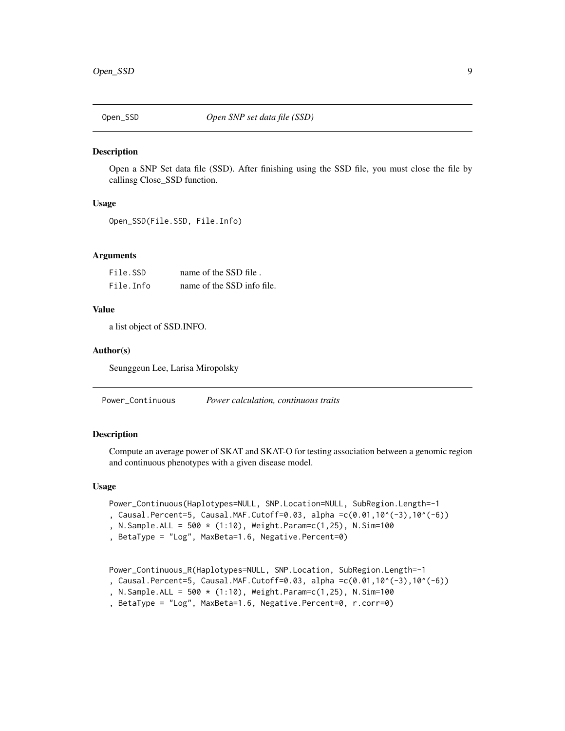<span id="page-8-0"></span>

Open a SNP Set data file (SSD). After finishing using the SSD file, you must close the file by callinsg Close\_SSD function.

# Usage

```
Open_SSD(File.SSD, File.Info)
```
#### Arguments

| File.SSD  | name of the SSD file.      |
|-----------|----------------------------|
| File.Info | name of the SSD info file. |

# Value

a list object of SSD.INFO.

#### Author(s)

Seunggeun Lee, Larisa Miropolsky

Power\_Continuous *Power calculation, continuous traits*

# Description

Compute an average power of SKAT and SKAT-O for testing association between a genomic region and continuous phenotypes with a given disease model.

#### Usage

```
Power_Continuous(Haplotypes=NULL, SNP.Location=NULL, SubRegion.Length=-1
```
, Causal.Percent=5, Causal.MAF.Cutoff=0.03, alpha =c(0.01,10^(-3),10^(-6))

, N.Sample.ALL = 500 \* (1:10), Weight.Param=c(1,25), N.Sim=100

```
, BetaType = "Log", MaxBeta=1.6, Negative.Percent=0)
```
Power\_Continuous\_R(Haplotypes=NULL, SNP.Location, SubRegion.Length=-1

, Causal.Percent=5, Causal.MAF.Cutoff=0.03, alpha =c(0.01,10^(-3),10^(-6))

- , N.Sample.ALL =  $500 \times (1:10)$ , Weight.Param=c(1,25), N.Sim=100
- , BetaType = "Log", MaxBeta=1.6, Negative.Percent=0, r.corr=0)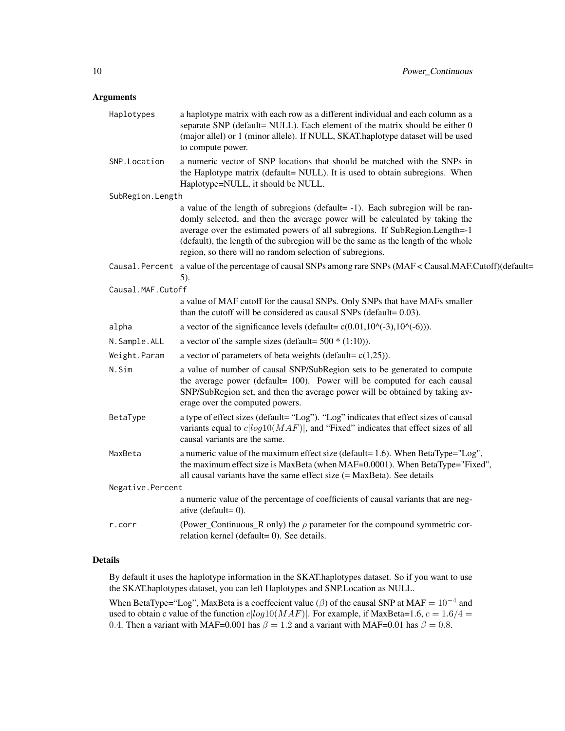# Arguments

| Haplotypes        | a haplotype matrix with each row as a different individual and each column as a<br>separate SNP (default= NULL). Each element of the matrix should be either 0<br>(major allel) or 1 (minor allele). If NULL, SKAT.haplotype dataset will be used<br>to compute power.                                                                                                                         |
|-------------------|------------------------------------------------------------------------------------------------------------------------------------------------------------------------------------------------------------------------------------------------------------------------------------------------------------------------------------------------------------------------------------------------|
| SNP.Location      | a numeric vector of SNP locations that should be matched with the SNPs in<br>the Haplotype matrix (default= NULL). It is used to obtain subregions. When<br>Haplotype=NULL, it should be NULL.                                                                                                                                                                                                 |
| SubRegion.Length  |                                                                                                                                                                                                                                                                                                                                                                                                |
|                   | a value of the length of subregions (default= -1). Each subregion will be ran-<br>domly selected, and then the average power will be calculated by taking the<br>average over the estimated powers of all subregions. If SubRegion.Length=-1<br>(default), the length of the subregion will be the same as the length of the whole<br>region, so there will no random selection of subregions. |
|                   | Causal. Percent a value of the percentage of causal SNPs among rare SNPs (MAF < Causal. MAF.Cutoff)(default=<br>5).                                                                                                                                                                                                                                                                            |
| Causal.MAF.Cutoff |                                                                                                                                                                                                                                                                                                                                                                                                |
|                   | a value of MAF cutoff for the causal SNPs. Only SNPs that have MAFs smaller<br>than the cutoff will be considered as causal SNPs (default= $0.03$ ).                                                                                                                                                                                                                                           |
| alpha             | a vector of the significance levels (default= $c(0.01, 10 \land (-3), 10 \land (-6))$ ).                                                                                                                                                                                                                                                                                                       |
| N.Sample.ALL      | a vector of the sample sizes (default= $500 * (1:10)$ ).                                                                                                                                                                                                                                                                                                                                       |
| Weight.Param      | a vector of parameters of beta weights (default= $c(1,25)$ ).                                                                                                                                                                                                                                                                                                                                  |
| N.Sim             | a value of number of causal SNP/SubRegion sets to be generated to compute<br>the average power (default= 100). Power will be computed for each causal<br>SNP/SubRegion set, and then the average power will be obtained by taking av-<br>erage over the computed powers.                                                                                                                       |
| BetaType          | a type of effect sizes (default= "Log"). "Log" indicates that effect sizes of causal<br>variants equal to $c\left  \log 10(MAF) \right $ , and "Fixed" indicates that effect sizes of all<br>causal variants are the same.                                                                                                                                                                     |
| MaxBeta           | a numeric value of the maximum effect size (default= 1.6). When BetaType="Log",<br>the maximum effect size is MaxBeta (when MAF=0.0001). When BetaType="Fixed",<br>all causal variants have the same effect size $(= Max Beta)$ . See details                                                                                                                                                  |
| Negative.Percent  |                                                                                                                                                                                                                                                                                                                                                                                                |
|                   | a numeric value of the percentage of coefficients of causal variants that are neg-<br>ative (default= $0$ ).                                                                                                                                                                                                                                                                                   |
| r.corr            | (Power_Continuous_R only) the $\rho$ parameter for the compound symmetric cor-<br>relation kernel (default=0). See details.                                                                                                                                                                                                                                                                    |

#### Details

By default it uses the haplotype information in the SKAT.haplotypes dataset. So if you want to use the SKAT.haplotypes dataset, you can left Haplotypes and SNP.Location as NULL.

When BetaType="Log", MaxBeta is a coeffecient value ( $\beta$ ) of the causal SNP at MAF =  $10^{-4}$  and used to obtain c value of the function  $c|log10(MAF)|$ . For example, if MaxBeta=1.6,  $c = 1.6/4$  = 0.4. Then a variant with MAF=0.001 has  $\beta = 1.2$  and a variant with MAF=0.01 has  $\beta = 0.8$ .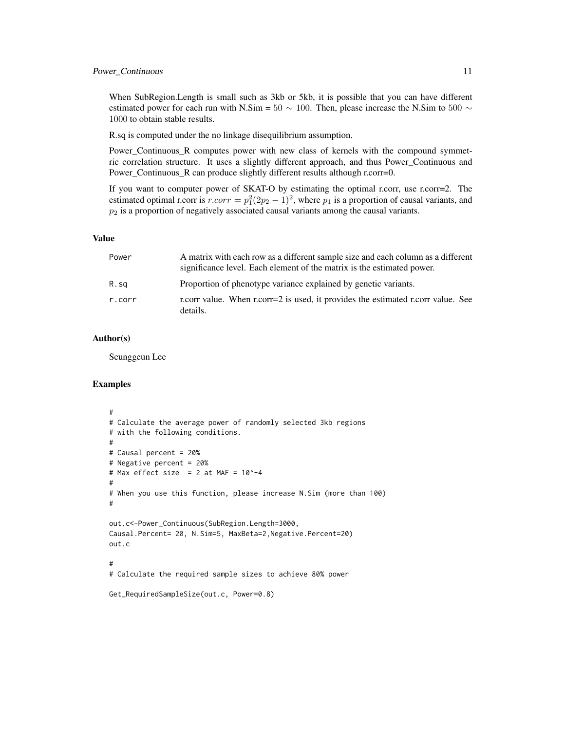When SubRegion.Length is small such as 3kb or 5kb, it is possible that you can have different estimated power for each run with N.Sim =  $50 \sim 100$ . Then, please increase the N.Sim to  $500 \sim$ 1000 to obtain stable results.

R.sq is computed under the no linkage disequilibrium assumption.

Power\_Continuous\_R computes power with new class of kernels with the compound symmetric correlation structure. It uses a slightly different approach, and thus Power\_Continuous and Power\_Continuous\_R can produce slightly different results although r.corr=0.

If you want to computer power of SKAT-O by estimating the optimal r.corr, use r.corr=2. The estimated optimal r.corr is  $r.corr = p_1^2(2p_2 - 1)^2$ , where  $p_1$  is a proportion of causal variants, and  $p_2$  is a proportion of negatively associated causal variants among the causal variants.

#### Value

| Power  | A matrix with each row as a different sample size and each column as a different<br>significance level. Each element of the matrix is the estimated power. |
|--------|------------------------------------------------------------------------------------------------------------------------------------------------------------|
| R.sq   | Proportion of phenotype variance explained by genetic variants.                                                                                            |
| r.corr | r.corr value. When r.corr=2 is used, it provides the estimated r.corr value. See<br>details.                                                               |

#### Author(s)

Seunggeun Lee

#### Examples

```
#
# Calculate the average power of randomly selected 3kb regions
# with the following conditions.
#
# Causal percent = 20%
# Negative percent = 20%
# Max effect size = 2 at MAF = 10^{\circ}-4#
# When you use this function, please increase N.Sim (more than 100)
#
out.c<-Power_Continuous(SubRegion.Length=3000,
Causal.Percent= 20, N.Sim=5, MaxBeta=2,Negative.Percent=20)
out.c
#
# Calculate the required sample sizes to achieve 80% power
Get_RequiredSampleSize(out.c, Power=0.8)
```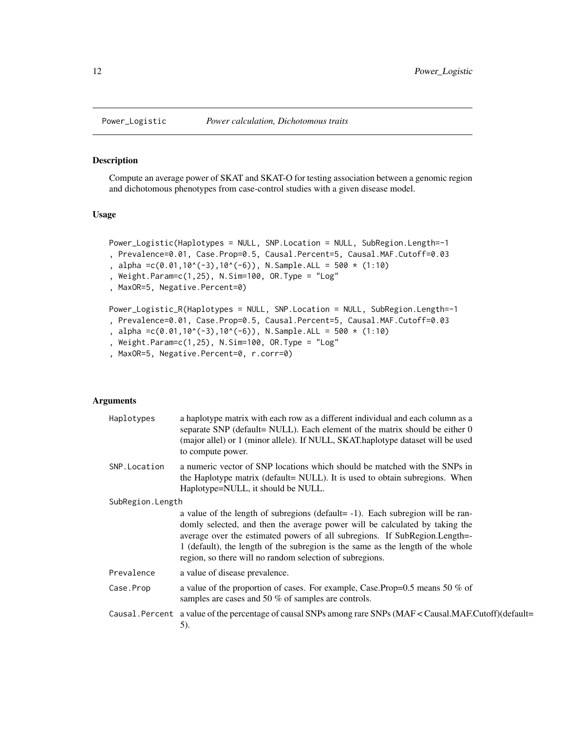Compute an average power of SKAT and SKAT-O for testing association between a genomic region and dichotomous phenotypes from case-control studies with a given disease model.

#### Usage

```
Power_Logistic(Haplotypes = NULL, SNP.Location = NULL, SubRegion.Length=-1
, Prevalence=0.01, Case.Prop=0.5, Causal.Percent=5, Causal.MAF.Cutoff=0.03
, alpha =c(0.01,10^*(-3),10^*(-6)), N.Sample.ALL = 500 * (1:10)
, Weight.Param=c(1,25), N.Sim=100, OR.Type = "Log"
, MaxOR=5, Negative.Percent=0)
Power_Logistic_R(Haplotypes = NULL, SNP.Location = NULL, SubRegion.Length=-1
, Prevalence=0.01, Case.Prop=0.5, Causal.Percent=5, Causal.MAF.Cutoff=0.03
, alpha =c(0.01,10^*(-3),10^*(-6)), N.Sample.ALL = 500 * (1:10)
```

```
, Weight.Param=c(1,25), N.Sim=100, OR.Type = "Log"
```

```
, MaxOR=5, Negative.Percent=0, r.corr=0)
```
# Arguments

| Haplotypes       | a haplotype matrix with each row as a different individual and each column as a<br>separate SNP (default= NULL). Each element of the matrix should be either 0<br>(major allel) or 1 (minor allele). If NULL, SKAT.haplotype dataset will be used<br>to compute power.                                                                                                                     |  |
|------------------|--------------------------------------------------------------------------------------------------------------------------------------------------------------------------------------------------------------------------------------------------------------------------------------------------------------------------------------------------------------------------------------------|--|
| SNP. Location    | a numeric vector of SNP locations which should be matched with the SNPs in<br>the Haplotype matrix (default= NULL). It is used to obtain subregions. When<br>Haplotype=NULL, it should be NULL.                                                                                                                                                                                            |  |
| SubRegion.Length |                                                                                                                                                                                                                                                                                                                                                                                            |  |
|                  | a value of the length of subregions (default= -1). Each subregion will be ran-<br>domly selected, and then the average power will be calculated by taking the<br>average over the estimated powers of all subregions. If SubRegion.Length=-<br>1 (default), the length of the subregion is the same as the length of the whole<br>region, so there will no random selection of subregions. |  |
| Prevalence       | a value of disease prevalence.                                                                                                                                                                                                                                                                                                                                                             |  |
| Case.Prop        | a value of the proportion of cases. For example, Case.Prop=0.5 means 50 % of<br>samples are cases and 50 % of samples are controls.                                                                                                                                                                                                                                                        |  |
|                  | Causal. Percent a value of the percentage of causal SNPs among rare SNPs ( $MAF <$ Causal.MAF.Cutoff)(default=<br>5).                                                                                                                                                                                                                                                                      |  |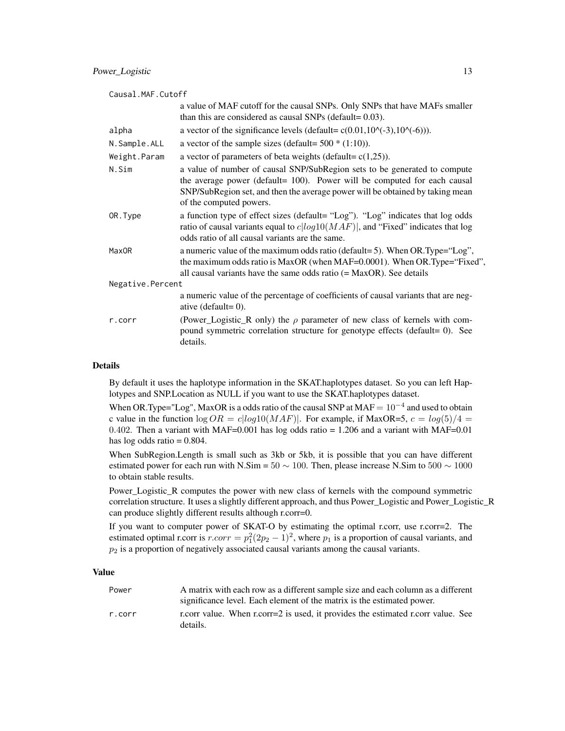| Causal.MAF.Cutoff |                                                                                                                                                                                                                                                                   |
|-------------------|-------------------------------------------------------------------------------------------------------------------------------------------------------------------------------------------------------------------------------------------------------------------|
|                   | a value of MAF cutoff for the causal SNPs. Only SNPs that have MAFs smaller<br>than this are considered as causal SNPs (default= 0.03).                                                                                                                           |
| alpha             | a vector of the significance levels (default= $c(0.01, 10 \times (-3), 10 \times (-6))$ ).                                                                                                                                                                        |
| N.Sample.ALL      | a vector of the sample sizes (default= $500 * (1:10)$ ).                                                                                                                                                                                                          |
| Weight.Param      | a vector of parameters of beta weights (default= $c(1,25)$ ).                                                                                                                                                                                                     |
| N.Sim             | a value of number of causal SNP/SubRegion sets to be generated to compute<br>the average power (default= 100). Power will be computed for each causal<br>SNP/SubRegion set, and then the average power will be obtained by taking mean<br>of the computed powers. |
| OR.Type           | a function type of effect sizes (default= "Log"). "Log" indicates that log odds<br>ratio of causal variants equal to $c log10(MAF) $ , and "Fixed" indicates that log<br>odds ratio of all causal variants are the same.                                          |
| Max <sub>OR</sub> | a numeric value of the maximum odds ratio (default=5). When OR.Type=" $Log$ ",<br>the maximum odds ratio is MaxOR (when MAF=0.0001). When OR.Type="Fixed",<br>all causal variants have the same odds ratio $(=MaxOR)$ . See details                               |
| Negative.Percent  |                                                                                                                                                                                                                                                                   |
|                   | a numeric value of the percentage of coefficients of causal variants that are neg-<br>ative (default= $0$ ).                                                                                                                                                      |
| r.corr            | (Power_Logistic_R only) the $\rho$ parameter of new class of kernels with com-<br>pound symmetric correlation structure for genotype effects (default= 0). See<br>details.                                                                                        |

#### Details

By default it uses the haplotype information in the SKAT.haplotypes dataset. So you can left Haplotypes and SNP.Location as NULL if you want to use the SKAT.haplotypes dataset.

When OR.Type="Log", MaxOR is a odds ratio of the causal SNP at  $MAF = 10^{-4}$  and used to obtain c value in the function  $\log OR = \frac{c \log 10(MAF)}{MAF}$ . For example, if MaxOR=5,  $c = \log(5)/4 =$ 0.402. Then a variant with MAF=0.001 has log odds ratio =  $1.206$  and a variant with MAF=0.01 has  $log$  odds ratio = 0.804.

When SubRegion.Length is small such as 3kb or 5kb, it is possible that you can have different estimated power for each run with N.Sim =  $50 \sim 100$ . Then, please increase N.Sim to  $500 \sim 1000$ to obtain stable results.

Power\_Logistic\_R computes the power with new class of kernels with the compound symmetric correlation structure. It uses a slightly different approach, and thus Power\_Logistic and Power\_Logistic\_R can produce slightly different results although r.corr=0.

If you want to computer power of SKAT-O by estimating the optimal r.corr, use r.corr=2. The estimated optimal r.corr is  $r.corr = p_1^2(2p_2 - 1)^2$ , where  $p_1$  is a proportion of causal variants, and  $p_2$  is a proportion of negatively associated causal variants among the causal variants.

#### Value

| Power  | A matrix with each row as a different sample size and each column as a different |
|--------|----------------------------------------------------------------------------------|
|        | significance level. Each element of the matrix is the estimated power.           |
| r.corr | r.corr value. When r.corr=2 is used, it provides the estimated r.corr value. See |
|        | details.                                                                         |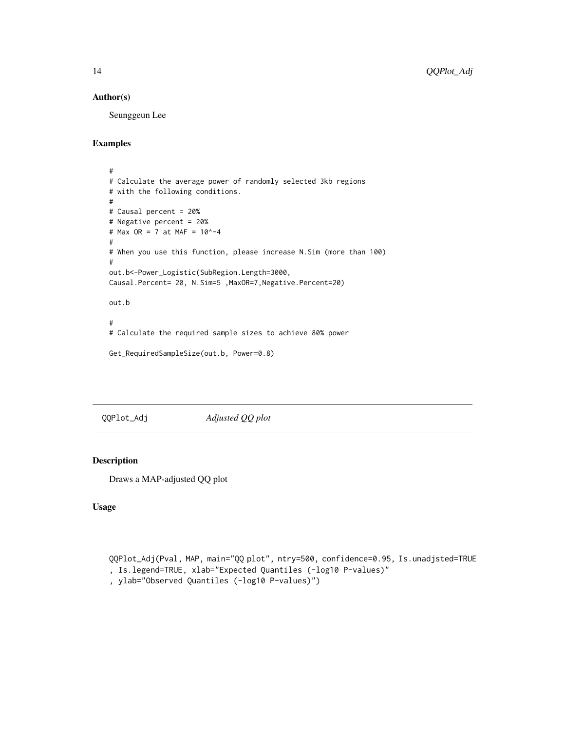#### <span id="page-13-0"></span>Author(s)

Seunggeun Lee

# Examples

```
#
# Calculate the average power of randomly selected 3kb regions
# with the following conditions.
#
# Causal percent = 20%
# Negative percent = 20%
# Max OR = 7 at MAF = 10^-4
#
# When you use this function, please increase N.Sim (more than 100)
#
out.b<-Power_Logistic(SubRegion.Length=3000,
Causal.Percent= 20, N.Sim=5 ,MaxOR=7,Negative.Percent=20)
out.b
#
# Calculate the required sample sizes to achieve 80% power
```

```
Get_RequiredSampleSize(out.b, Power=0.8)
```
QQPlot\_Adj *Adjusted QQ plot*

#### Description

Draws a MAP-adjusted QQ plot

# Usage

```
QQPlot_Adj(Pval, MAP, main="QQ plot", ntry=500, confidence=0.95, Is.unadjsted=TRUE
, Is.legend=TRUE, xlab="Expected Quantiles (-log10 P-values)"
```
, ylab="Observed Quantiles (-log10 P-values)")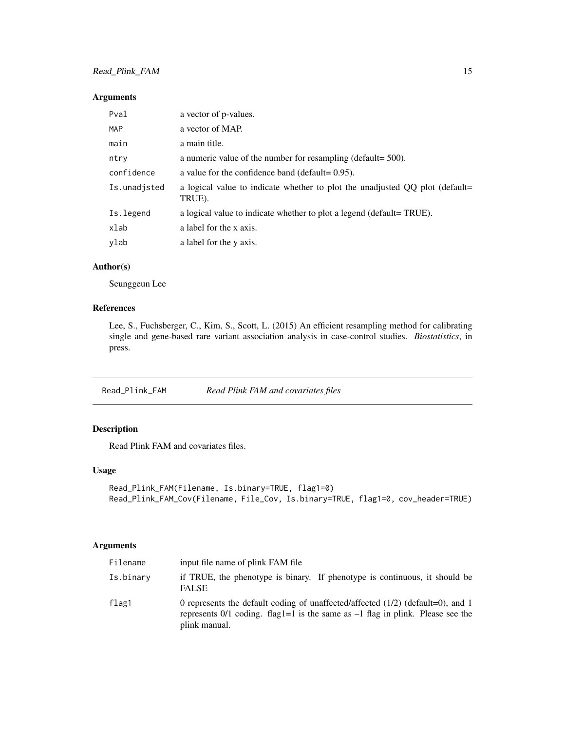#### <span id="page-14-0"></span>Arguments

| Pval         | a vector of p-values.                                                                  |
|--------------|----------------------------------------------------------------------------------------|
| <b>MAP</b>   | a vector of MAP.                                                                       |
| main         | a main title.                                                                          |
| ntry         | a numeric value of the number for resampling (default= $500$ ).                        |
| confidence   | a value for the confidence band (default= $0.95$ ).                                    |
| Is.unadisted | a logical value to indicate whether to plot the unadjusted QQ plot (default=<br>TRUE). |
| Is. legend   | a logical value to indicate whether to plot a legend (default=TRUE).                   |
| xlab         | a label for the x axis.                                                                |
| ylab         | a label for the y axis.                                                                |

### Author(s)

Seunggeun Lee

# References

Lee, S., Fuchsberger, C., Kim, S., Scott, L. (2015) An efficient resampling method for calibrating single and gene-based rare variant association analysis in case-control studies. *Biostatistics*, in press.

Read\_Plink\_FAM *Read Plink FAM and covariates files*

# Description

Read Plink FAM and covariates files.

#### Usage

```
Read_Plink_FAM(Filename, Is.binary=TRUE, flag1=0)
Read_Plink_FAM_Cov(Filename, File_Cov, Is.binary=TRUE, flag1=0, cov_header=TRUE)
```
#### Arguments

| Filename  | input file name of plink FAM file                                                                                                                                                      |
|-----------|----------------------------------------------------------------------------------------------------------------------------------------------------------------------------------------|
| Is.binary | if TRUE, the phenotype is binary. If phenotype is continuous, it should be<br><b>FALSE</b>                                                                                             |
| flag1     | 0 represents the default coding of unaffected/affected $(1/2)$ (default=0), and 1<br>represents 0/1 coding. flag1=1 is the same as $-1$ flag in plink. Please see the<br>plink manual. |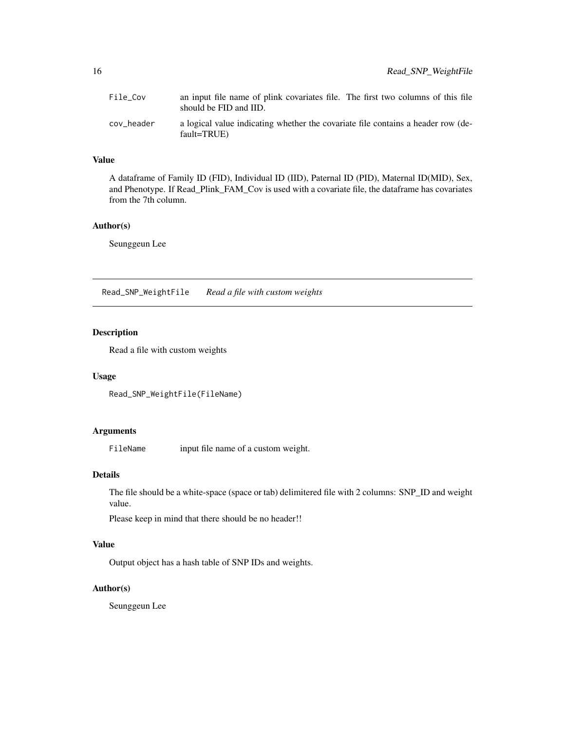<span id="page-15-0"></span>

| File Cov   | an input file name of plink covariates file. The first two columns of this file<br>should be FID and IID. |
|------------|-----------------------------------------------------------------------------------------------------------|
| cov header | a logical value indicating whether the covariate file contains a header row (de-<br>fault=TRUE)           |

#### Value

A dataframe of Family ID (FID), Individual ID (IID), Paternal ID (PID), Maternal ID(MID), Sex, and Phenotype. If Read\_Plink\_FAM\_Cov is used with a covariate file, the dataframe has covariates from the 7th column.

#### Author(s)

Seunggeun Lee

Read\_SNP\_WeightFile *Read a file with custom weights*

# Description

Read a file with custom weights

# Usage

Read\_SNP\_WeightFile(FileName)

# Arguments

FileName input file name of a custom weight.

#### Details

The file should be a white-space (space or tab) delimitered file with 2 columns: SNP\_ID and weight value.

Please keep in mind that there should be no header!!

# Value

Output object has a hash table of SNP IDs and weights.

# Author(s)

Seunggeun Lee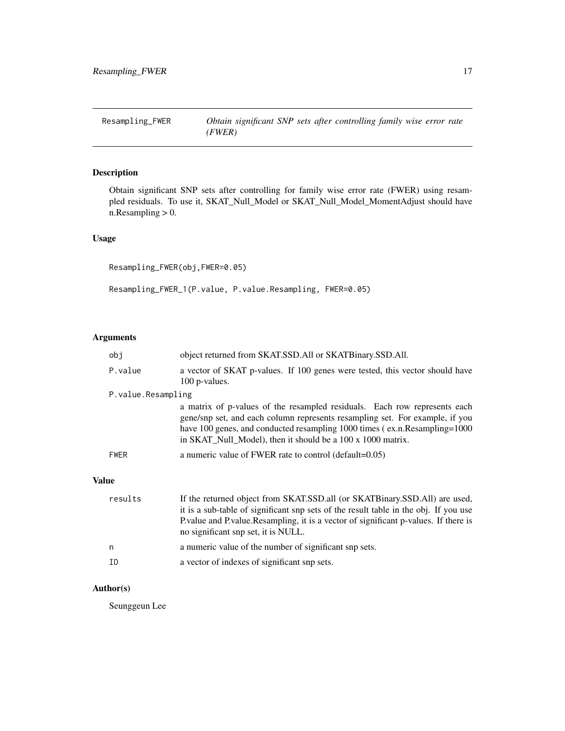<span id="page-16-0"></span>

Obtain significant SNP sets after controlling for family wise error rate (FWER) using resampled residuals. To use it, SKAT\_Null\_Model or SKAT\_Null\_Model\_MomentAdjust should have n.Resampling > 0.

# Usage

Resampling\_FWER(obj,FWER=0.05)

Resampling\_FWER\_1(P.value, P.value.Resampling, FWER=0.05)

# Arguments

|              | obi                | object returned from SKAT.SSD.All or SKATBinary.SSD.All.                                                                                                                                                                                                                                               |
|--------------|--------------------|--------------------------------------------------------------------------------------------------------------------------------------------------------------------------------------------------------------------------------------------------------------------------------------------------------|
|              | P.value            | a vector of SKAT p-values. If 100 genes were tested, this vector should have<br>100 p-values.                                                                                                                                                                                                          |
|              | P.value.Resampling |                                                                                                                                                                                                                                                                                                        |
|              |                    | a matrix of p-values of the resampled residuals. Each row represents each<br>gene/snp set, and each column represents resampling set. For example, if you<br>have 100 genes, and conducted resampling 1000 times (ex.n.Resampling=1000)<br>in SKAT_Null_Model), then it should be a 100 x 1000 matrix. |
|              | <b>FWER</b>        | a numeric value of FWER rate to control (default= $0.05$ )                                                                                                                                                                                                                                             |
| <b>Value</b> |                    |                                                                                                                                                                                                                                                                                                        |
|              | results            | If the returned object from SKAT.SSD.all (or SKATBinary.SSD.All) are used,<br>it is a sub-table of significant snp sets of the result table in the obj. If you use<br>P. value and P. value. Resampling, it is a vector of significant p-values. If there is<br>no significant snp set, it is NULL.    |
|              | n                  | a numeric value of the number of significant snp sets.                                                                                                                                                                                                                                                 |

ID a vector of indexes of significant snp sets.

# Author(s)

Seunggeun Lee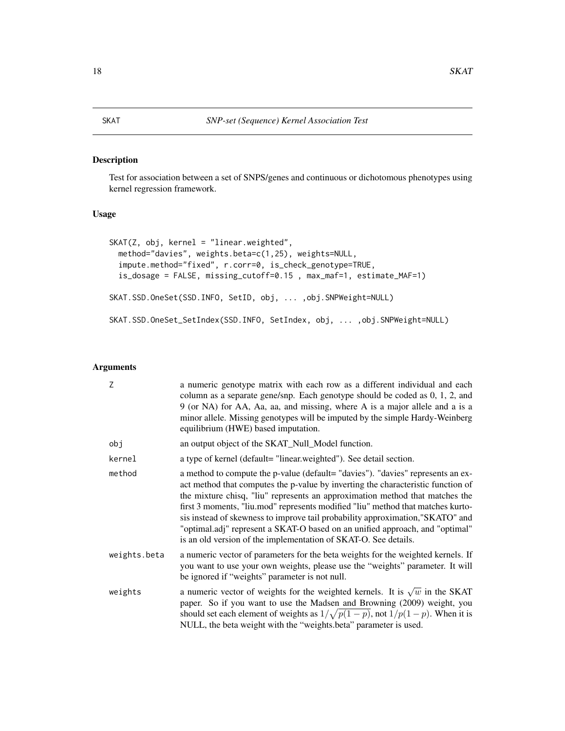<span id="page-17-0"></span>Test for association between a set of SNPS/genes and continuous or dichotomous phenotypes using kernel regression framework.

# Usage

```
SKAT(Z, obj, kernel = "linear.weighted",
 method="davies", weights.beta=c(1,25), weights=NULL,
  impute.method="fixed", r.corr=0, is_check_genotype=TRUE,
 is_dosage = FALSE, missing_cutoff=0.15 , max_maf=1, estimate_MAF=1)
SKAT.SSD.OneSet(SSD.INFO, SetID, obj, ... ,obj.SNPWeight=NULL)
SKAT.SSD.OneSet_SetIndex(SSD.INFO, SetIndex, obj, ... ,obj.SNPWeight=NULL)
```
#### Arguments

| Z            | a numeric genotype matrix with each row as a different individual and each<br>column as a separate gene/snp. Each genotype should be coded as 0, 1, 2, and<br>9 (or NA) for AA, Aa, aa, and missing, where A is a major allele and a is a<br>minor allele. Missing genotypes will be imputed by the simple Hardy-Weinberg<br>equilibrium (HWE) based imputation.                                                                                                                                                                                                           |
|--------------|----------------------------------------------------------------------------------------------------------------------------------------------------------------------------------------------------------------------------------------------------------------------------------------------------------------------------------------------------------------------------------------------------------------------------------------------------------------------------------------------------------------------------------------------------------------------------|
| obj          | an output object of the SKAT_Null_Model function.                                                                                                                                                                                                                                                                                                                                                                                                                                                                                                                          |
| kernel       | a type of kernel (default= "linear.weighted"). See detail section.                                                                                                                                                                                                                                                                                                                                                                                                                                                                                                         |
| method       | a method to compute the p-value (default= "davies"). "davies" represents an ex-<br>act method that computes the p-value by inverting the characteristic function of<br>the mixture chisq, "liu" represents an approximation method that matches the<br>first 3 moments, "liu.mod" represents modified "liu" method that matches kurto-<br>sis instead of skewness to improve tail probability approximation,"SKATO" and<br>"optimal.adj" represent a SKAT-O based on an unified approach, and "optimal"<br>is an old version of the implementation of SKAT-O. See details. |
| weights.beta | a numeric vector of parameters for the beta weights for the weighted kernels. If<br>you want to use your own weights, please use the "weights" parameter. It will<br>be ignored if "weights" parameter is not null.                                                                                                                                                                                                                                                                                                                                                        |
| weights      | a numeric vector of weights for the weighted kernels. It is $\sqrt{w}$ in the SKAT<br>paper. So if you want to use the Madsen and Browning (2009) weight, you<br>should set each element of weights as $1/\sqrt{p(1-p)}$ , not $1/p(1-p)$ . When it is<br>NULL, the beta weight with the "weights.beta" parameter is used.                                                                                                                                                                                                                                                 |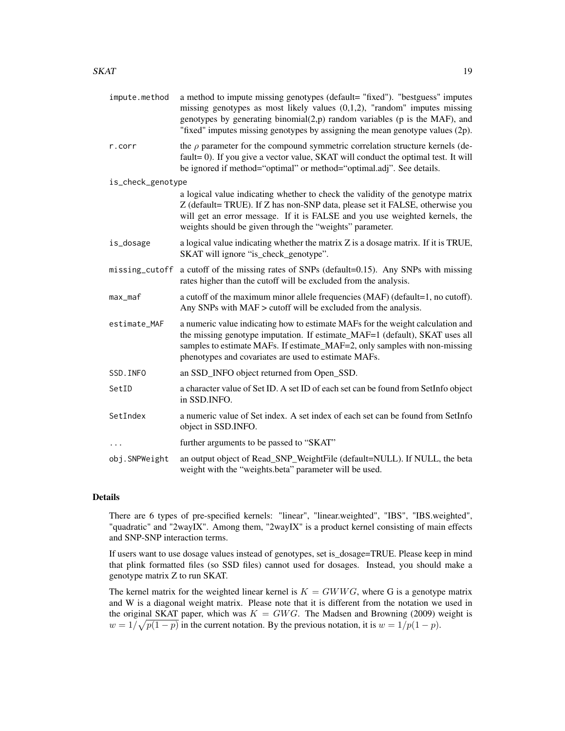| impute.method     | a method to impute missing genotypes (default= "fixed"). "bestguess" imputes<br>missing genotypes as most likely values $(0,1,2)$ , "random" imputes missing<br>genotypes by generating binomial $(2,p)$ random variables (p is the MAF), and<br>"fixed" imputes missing genotypes by assigning the mean genotype values (2p). |
|-------------------|--------------------------------------------------------------------------------------------------------------------------------------------------------------------------------------------------------------------------------------------------------------------------------------------------------------------------------|
| r.corr            | the $\rho$ parameter for the compound symmetric correlation structure kernels (de-<br>fault=0). If you give a vector value, SKAT will conduct the optimal test. It will<br>be ignored if method="optimal" or method="optimal.adj". See details.                                                                                |
| is_check_genotype |                                                                                                                                                                                                                                                                                                                                |
|                   | a logical value indicating whether to check the validity of the genotype matrix<br>Z (default= TRUE). If Z has non-SNP data, please set it FALSE, otherwise you<br>will get an error message. If it is FALSE and you use weighted kernels, the<br>weights should be given through the "weights" parameter.                     |
| is_dosage         | a logical value indicating whether the matrix Z is a dosage matrix. If it is TRUE,<br>SKAT will ignore "is_check_genotype".                                                                                                                                                                                                    |
| missing_cutoff    | a cutoff of the missing rates of SNPs (default=0.15). Any SNPs with missing<br>rates higher than the cutoff will be excluded from the analysis.                                                                                                                                                                                |
| max_maf           | a cutoff of the maximum minor allele frequencies (MAF) (default=1, no cutoff).<br>Any SNPs with MAF > cutoff will be excluded from the analysis.                                                                                                                                                                               |
| estimate_MAF      | a numeric value indicating how to estimate MAFs for the weight calculation and<br>the missing genotype imputation. If estimate_MAF=1 (default), SKAT uses all<br>samples to estimate MAFs. If estimate_MAF=2, only samples with non-missing<br>phenotypes and covariates are used to estimate MAFs.                            |
| SSD. INFO         | an SSD_INFO object returned from Open_SSD.                                                                                                                                                                                                                                                                                     |
| SetID             | a character value of Set ID. A set ID of each set can be found from SetInfo object<br>in SSD.INFO.                                                                                                                                                                                                                             |
| SetIndex          | a numeric value of Set index. A set index of each set can be found from SetInfo<br>object in SSD.INFO.                                                                                                                                                                                                                         |
|                   | further arguments to be passed to "SKAT"                                                                                                                                                                                                                                                                                       |
| obj.SNPWeight     | an output object of Read_SNP_WeightFile (default=NULL). If NULL, the beta<br>weight with the "weights.beta" parameter will be used.                                                                                                                                                                                            |

# Details

There are 6 types of pre-specified kernels: "linear", "linear.weighted", "IBS", "IBS.weighted", "quadratic" and "2wayIX". Among them, "2wayIX" is a product kernel consisting of main effects and SNP-SNP interaction terms.

If users want to use dosage values instead of genotypes, set is\_dosage=TRUE. Please keep in mind that plink formatted files (so SSD files) cannot used for dosages. Instead, you should make a genotype matrix Z to run SKAT.

The kernel matrix for the weighted linear kernel is  $K = GWWG$ , where G is a genotype matrix and W is a diagonal weight matrix. Please note that it is different from the notation we used in the original SKAT paper, which was  $K = GWG$ . The Madsen and Browning (2009) weight is  $w = 1/\sqrt{p(1-p)}$  in the current notation. By the previous notation, it is  $w = 1/p(1-p)$ .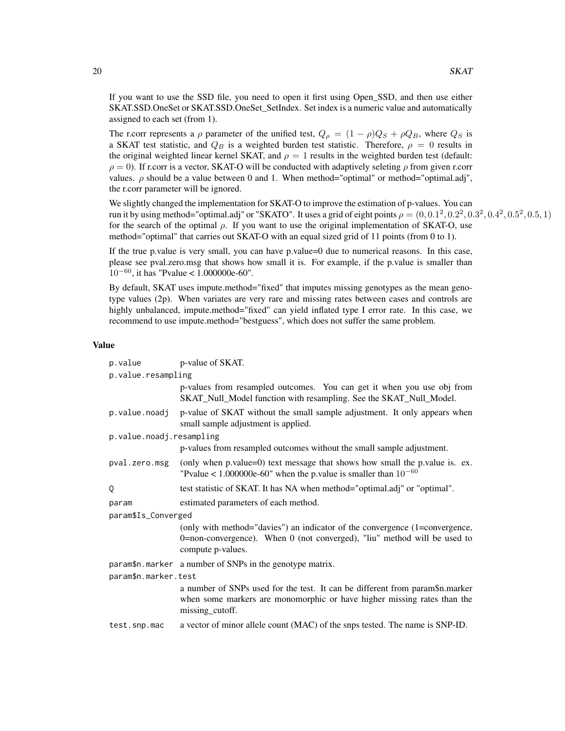If you want to use the SSD file, you need to open it first using Open\_SSD, and then use either SKAT.SSD.OneSet or SKAT.SSD.OneSet\_SetIndex. Set index is a numeric value and automatically assigned to each set (from 1).

The r.corr represents a  $\rho$  parameter of the unified test,  $Q_{\rho} = (1 - \rho)Q_S + \rho Q_B$ , where  $Q_S$  is a SKAT test statistic, and  $Q_B$  is a weighted burden test statistic. Therefore,  $\rho = 0$  results in the original weighted linear kernel SKAT, and  $\rho = 1$  results in the weighted burden test (default:  $\rho = 0$ ). If r.corr is a vector, SKAT-O will be conducted with adaptively seleting  $\rho$  from given r.corr values.  $\rho$  should be a value between 0 and 1. When method="optimal" or method="optimal.adj", the r.corr parameter will be ignored.

We slightly changed the implementation for SKAT-O to improve the estimation of p-values. You can run it by using method="optimal.adj" or "SKATO". It uses a grid of eight points  $\rho = (0,0.1^2,0.2^2,0.3^2,0.4^2,0.5^2,0.5,1)$ for the search of the optimal  $\rho$ . If you want to use the original implementation of SKAT-O, use method="optimal" that carries out SKAT-O with an equal sized grid of 11 points (from 0 to 1).

If the true p.value is very small, you can have p.value=0 due to numerical reasons. In this case, please see pval.zero.msg that shows how small it is. For example, if the p.value is smaller than  $10^{-60}$ , it has "Pvalue < 1.000000e-60".

By default, SKAT uses impute.method="fixed" that imputes missing genotypes as the mean genotype values (2p). When variates are very rare and missing rates between cases and controls are highly unbalanced, impute.method="fixed" can yield inflated type I error rate. In this case, we recommend to use impute.method="bestguess", which does not suffer the same problem.

#### Value

| p.value                  | p-value of SKAT.                                                                                                                                                             |  |  |
|--------------------------|------------------------------------------------------------------------------------------------------------------------------------------------------------------------------|--|--|
|                          | p.value.resampling                                                                                                                                                           |  |  |
|                          | p-values from resampled outcomes. You can get it when you use obj from<br>SKAT_Null_Model function with resampling. See the SKAT_Null_Model.                                 |  |  |
| p.value.noadj            | p-value of SKAT without the small sample adjustment. It only appears when<br>small sample adjustment is applied.                                                             |  |  |
| p.value.noadj.resampling |                                                                                                                                                                              |  |  |
|                          | p-values from resampled outcomes without the small sample adjustment.                                                                                                        |  |  |
| pval.zero.msg            | (only when p.value=0) text message that shows how small the p.value is. ex.<br>"Pvalue < $1.000000e-60$ " when the p.value is smaller than $10^{-60}$                        |  |  |
| Q                        | test statistic of SKAT. It has NA when method="optimal.adj" or "optimal".                                                                                                    |  |  |
| param                    | estimated parameters of each method.                                                                                                                                         |  |  |
| param\$Is_Converged      |                                                                                                                                                                              |  |  |
|                          | (only with method="davies") an indicator of the convergence (1=convergence,<br>0=non-convergence). When 0 (not converged), "liu" method will be used to<br>compute p-values. |  |  |
|                          | param\$n.marker a number of SNPs in the genotype matrix.                                                                                                                     |  |  |
| param\$n.marker.test     |                                                                                                                                                                              |  |  |
|                          | a number of SNPs used for the test. It can be different from param\$n.marker<br>when some markers are monomorphic or have higher missing rates than the<br>missing_cutoff.   |  |  |
| test.snp.mac             | a vector of minor allele count (MAC) of the snps tested. The name is SNP-ID.                                                                                                 |  |  |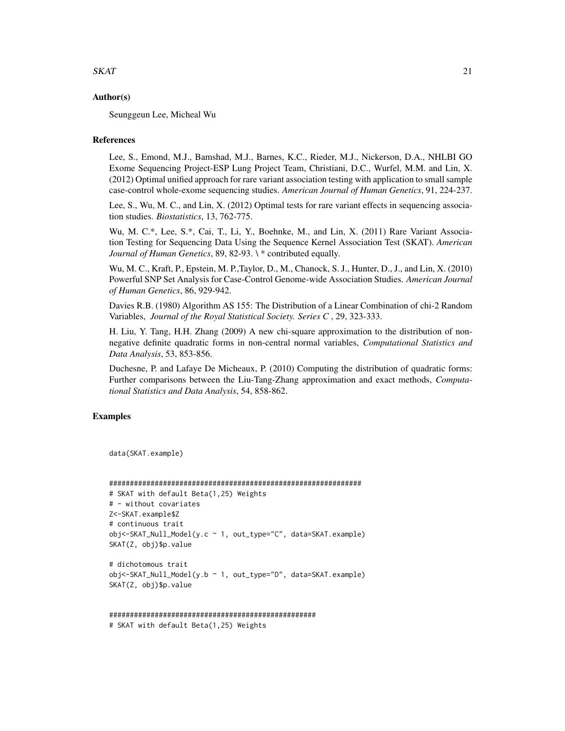#### $SKAT$  21

#### Author(s)

Seunggeun Lee, Micheal Wu

#### **References**

Lee, S., Emond, M.J., Bamshad, M.J., Barnes, K.C., Rieder, M.J., Nickerson, D.A., NHLBI GO Exome Sequencing Project-ESP Lung Project Team, Christiani, D.C., Wurfel, M.M. and Lin, X. (2012) Optimal unified approach for rare variant association testing with application to small sample case-control whole-exome sequencing studies. *American Journal of Human Genetics*, 91, 224-237.

Lee, S., Wu, M. C., and Lin, X. (2012) Optimal tests for rare variant effects in sequencing association studies. *Biostatistics*, 13, 762-775.

Wu, M. C.\*, Lee, S.\*, Cai, T., Li, Y., Boehnke, M., and Lin, X. (2011) Rare Variant Association Testing for Sequencing Data Using the Sequence Kernel Association Test (SKAT). *American Journal of Human Genetics*, 89, 82-93. \ \* contributed equally.

Wu, M. C., Kraft, P., Epstein, M. P.,Taylor, D., M., Chanock, S. J., Hunter, D., J., and Lin, X. (2010) Powerful SNP Set Analysis for Case-Control Genome-wide Association Studies. *American Journal of Human Genetics*, 86, 929-942.

Davies R.B. (1980) Algorithm AS 155: The Distribution of a Linear Combination of chi-2 Random Variables, *Journal of the Royal Statistical Society. Series C* , 29, 323-333.

H. Liu, Y. Tang, H.H. Zhang (2009) A new chi-square approximation to the distribution of nonnegative definite quadratic forms in non-central normal variables, *Computational Statistics and Data Analysis*, 53, 853-856.

Duchesne, P. and Lafaye De Micheaux, P. (2010) Computing the distribution of quadratic forms: Further comparisons between the Liu-Tang-Zhang approximation and exact methods, *Computational Statistics and Data Analysis*, 54, 858-862.

# Examples

```
data(SKAT.example)
```

```
#############################################################
# SKAT with default Beta(1,25) Weights
# - without covariates
Z<-SKAT.example$Z
# continuous trait
obj<-SKAT_Null_Model(y.c ~ 1, out_type="C", data=SKAT.example)
SKAT(Z, obj)$p.value
# dichotomous trait
```

```
obj<-SKAT_Null_Model(y.b ~ 1, out_type="D", data=SKAT.example)
SKAT(Z, obj)$p.value
```

```
##################################################
# SKAT with default Beta(1,25) Weights
```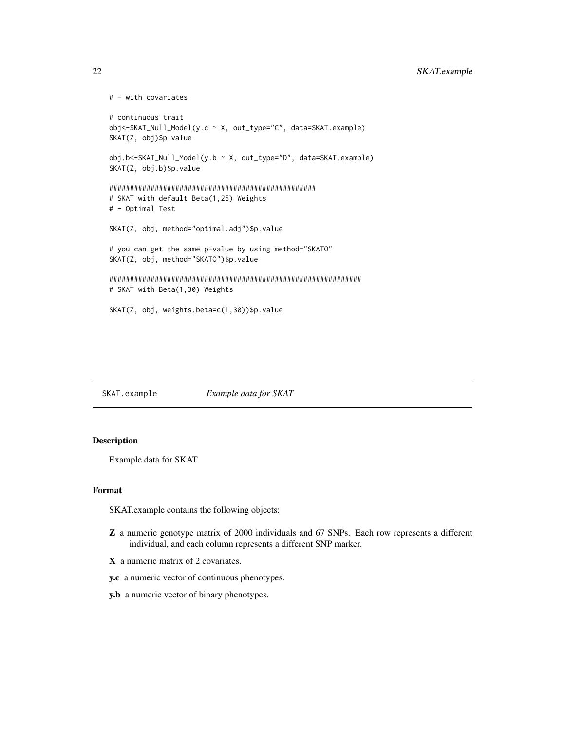# <span id="page-21-0"></span>22 SKAT.example

```
# - with covariates
# continuous trait
obj<-SKAT_Null_Model(y.c ~ X, out_type="C", data=SKAT.example)
SKAT(Z, obj)$p.value
obj.b<-SKAT_Null_Model(y.b ~ X, out_type="D", data=SKAT.example)
SKAT(Z, obj.b)$p.value
##################################################
# SKAT with default Beta(1,25) Weights
# - Optimal Test
SKAT(Z, obj, method="optimal.adj")$p.value
# you can get the same p-value by using method="SKATO"
SKAT(Z, obj, method="SKATO")$p.value
#############################################################
# SKAT with Beta(1,30) Weights
SKAT(Z, obj, weights.beta=c(1,30))$p.value
```
SKAT.example *Example data for SKAT*

# Description

Example data for SKAT.

# Format

SKAT.example contains the following objects:

- Z a numeric genotype matrix of 2000 individuals and 67 SNPs. Each row represents a different individual, and each column represents a different SNP marker.
- X a numeric matrix of 2 covariates.
- y.c a numeric vector of continuous phenotypes.
- y.b a numeric vector of binary phenotypes.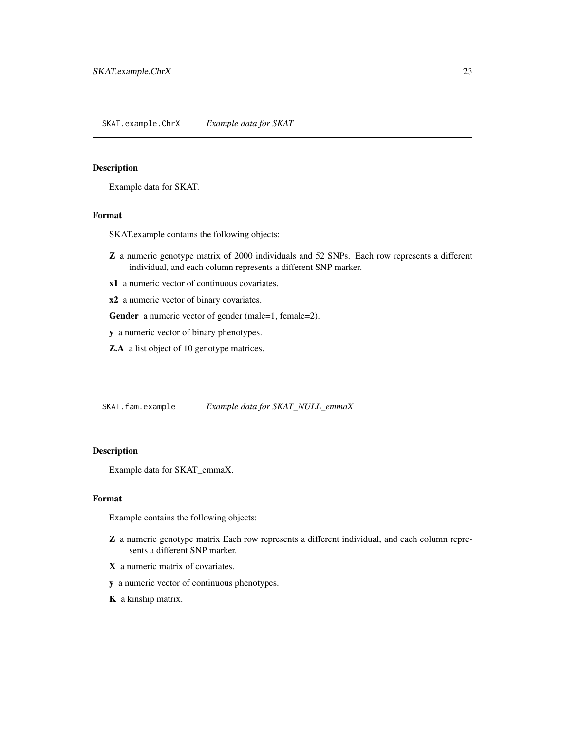<span id="page-22-0"></span>Example data for SKAT.

### Format

SKAT.example contains the following objects:

- Z a numeric genotype matrix of 2000 individuals and 52 SNPs. Each row represents a different individual, and each column represents a different SNP marker.
- x1 a numeric vector of continuous covariates.

x2 a numeric vector of binary covariates.

Gender a numeric vector of gender (male=1, female=2).

y a numeric vector of binary phenotypes.

Z.A a list object of 10 genotype matrices.

SKAT.fam.example *Example data for SKAT\_NULL\_emmaX*

# Description

Example data for SKAT\_emmaX.

#### Format

Example contains the following objects:

- Z a numeric genotype matrix Each row represents a different individual, and each column represents a different SNP marker.
- X a numeric matrix of covariates.
- y a numeric vector of continuous phenotypes.
- K a kinship matrix.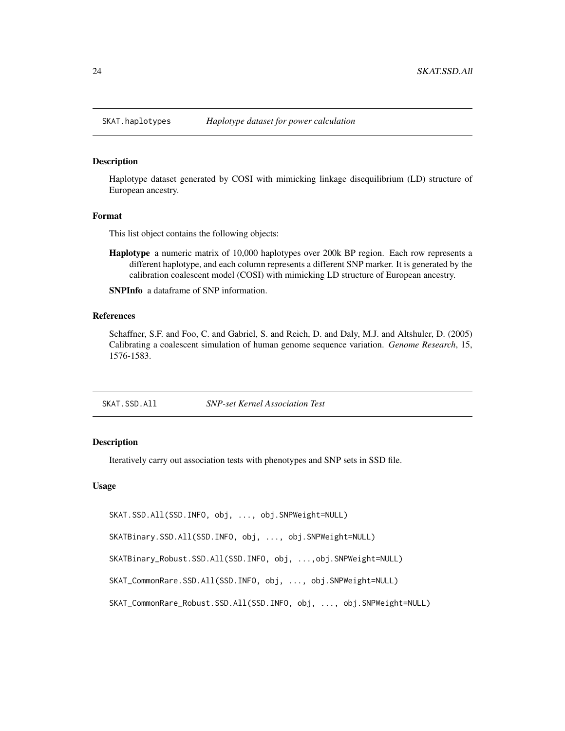<span id="page-23-0"></span>

Haplotype dataset generated by COSI with mimicking linkage disequilibrium (LD) structure of European ancestry.

#### Format

This list object contains the following objects:

Haplotype a numeric matrix of 10,000 haplotypes over 200k BP region. Each row represents a different haplotype, and each column represents a different SNP marker. It is generated by the calibration coalescent model (COSI) with mimicking LD structure of European ancestry.

SNPInfo a dataframe of SNP information.

#### References

Schaffner, S.F. and Foo, C. and Gabriel, S. and Reich, D. and Daly, M.J. and Altshuler, D. (2005) Calibrating a coalescent simulation of human genome sequence variation. *Genome Research*, 15, 1576-1583.

#### Description

Iteratively carry out association tests with phenotypes and SNP sets in SSD file.

#### Usage

SKAT.SSD.All(SSD.INFO, obj, ..., obj.SNPWeight=NULL)

SKATBinary.SSD.All(SSD.INFO, obj, ..., obj.SNPWeight=NULL)

SKATBinary\_Robust.SSD.All(SSD.INFO, obj, ...,obj.SNPWeight=NULL)

SKAT\_CommonRare.SSD.All(SSD.INFO, obj, ..., obj.SNPWeight=NULL)

SKAT\_CommonRare\_Robust.SSD.All(SSD.INFO, obj, ..., obj.SNPWeight=NULL)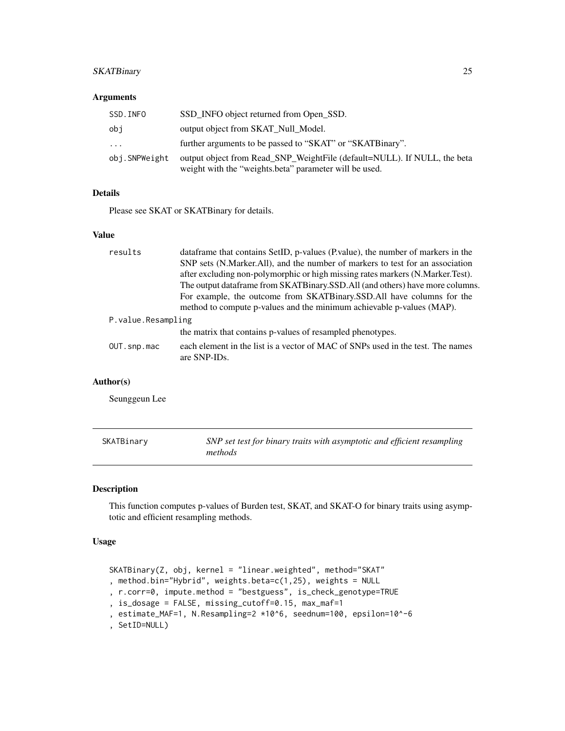# <span id="page-24-0"></span>SKATBinary 25

#### Arguments

| SSD.INFO      | SSD INFO object returned from Open SSD.                                                                                            |
|---------------|------------------------------------------------------------------------------------------------------------------------------------|
| obi           | output object from SKAT_Null_Model.                                                                                                |
| .             | further arguments to be passed to "SKAT" or "SKATBinary".                                                                          |
| obj.SNPWeight | output object from Read_SNP_WeightFile (default=NULL). If NULL, the beta<br>weight with the "weights beta" parameter will be used. |

# Details

Please see SKAT or SKATBinary for details.

# Value

| results            | dataframe that contains SetID, p-values (P.value), the number of markers in the                 |
|--------------------|-------------------------------------------------------------------------------------------------|
|                    | SNP sets (N.Marker.All), and the number of markers to test for an association                   |
|                    | after excluding non-polymorphic or high missing rates markers (N.Marker.Test).                  |
|                    | The output dataframe from SKATBinary.SSD.All (and others) have more columns.                    |
|                    | For example, the outcome from SKATBinary.SSD.All have columns for the                           |
|                    | method to compute p-values and the minimum achievable p-values (MAP).                           |
| P.value.Resampling |                                                                                                 |
|                    | the matrix that contains p-values of resampled phenotypes.                                      |
| OUT.snp.mac        | each element in the list is a vector of MAC of SNPs used in the test. The names<br>are SNP-IDs. |

# Author(s)

Seunggeun Lee

| SKATBinary | SNP set test for binary traits with asymptotic and efficient resampling |
|------------|-------------------------------------------------------------------------|
|            | methods                                                                 |

# Description

This function computes p-values of Burden test, SKAT, and SKAT-O for binary traits using asymptotic and efficient resampling methods.

#### Usage

```
SKATBinary(Z, obj, kernel = "linear.weighted", method="SKAT"
, method.bin="Hybrid", weights.beta=c(1,25), weights = NULL
, r.corr=0, impute.method = "bestguess", is_check_genotype=TRUE
, is_dosage = FALSE, missing_cutoff=0.15, max_maf=1
, estimate_MAF=1, N.Resampling=2 *10^6, seednum=100, epsilon=10^-6
, SetID=NULL)
```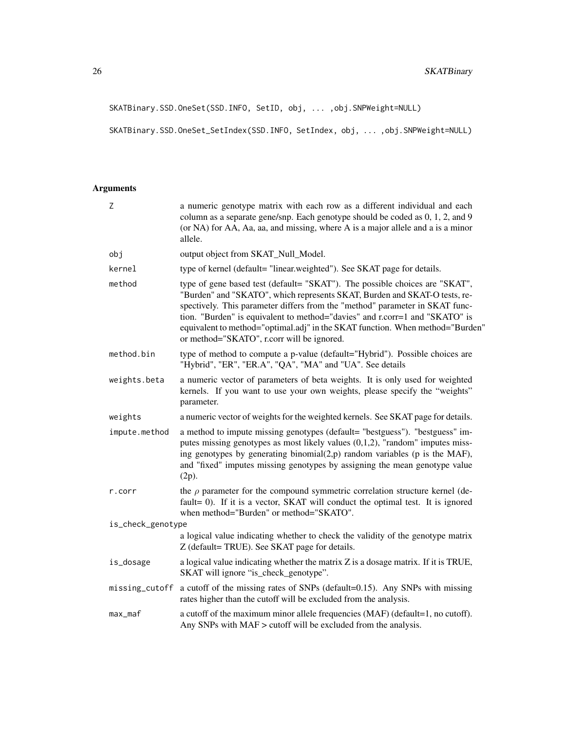SKATBinary.SSD.OneSet(SSD.INFO, SetID, obj, ... ,obj.SNPWeight=NULL)

SKATBinary.SSD.OneSet\_SetIndex(SSD.INFO, SetIndex, obj, ... ,obj.SNPWeight=NULL)

# Arguments

| Z                 | a numeric genotype matrix with each row as a different individual and each<br>column as a separate gene/snp. Each genotype should be coded as 0, 1, 2, and 9<br>(or NA) for AA, Aa, aa, and missing, where A is a major allele and a is a minor<br>allele.                                                                                                                                                                                             |  |  |
|-------------------|--------------------------------------------------------------------------------------------------------------------------------------------------------------------------------------------------------------------------------------------------------------------------------------------------------------------------------------------------------------------------------------------------------------------------------------------------------|--|--|
| obj               | output object from SKAT_Null_Model.                                                                                                                                                                                                                                                                                                                                                                                                                    |  |  |
| kernel            | type of kernel (default= "linear.weighted"). See SKAT page for details.                                                                                                                                                                                                                                                                                                                                                                                |  |  |
| method            | type of gene based test (default= "SKAT"). The possible choices are "SKAT",<br>"Burden" and "SKATO", which represents SKAT, Burden and SKAT-O tests, re-<br>spectively. This parameter differs from the "method" parameter in SKAT func-<br>tion. "Burden" is equivalent to method="davies" and r.corr=1 and "SKATO" is<br>equivalent to method="optimal.adj" in the SKAT function. When method="Burden"<br>or method="SKATO", r.corr will be ignored. |  |  |
| method.bin        | type of method to compute a p-value (default="Hybrid"). Possible choices are<br>"Hybrid", "ER", "ER.A", "QA", "MA" and "UA". See details                                                                                                                                                                                                                                                                                                               |  |  |
| weights.beta      | a numeric vector of parameters of beta weights. It is only used for weighted<br>kernels. If you want to use your own weights, please specify the "weights"<br>parameter.                                                                                                                                                                                                                                                                               |  |  |
| weights           | a numeric vector of weights for the weighted kernels. See SKAT page for details.                                                                                                                                                                                                                                                                                                                                                                       |  |  |
| impute.method     | a method to impute missing genotypes (default= "bestguess"). "bestguess" im-<br>putes missing genotypes as most likely values $(0,1,2)$ , "random" imputes miss-<br>ing genotypes by generating binomial(2,p) random variables (p is the MAF),<br>and "fixed" imputes missing genotypes by assigning the mean genotype value<br>(2p).                                                                                                                  |  |  |
| r.corr            | the $\rho$ parameter for the compound symmetric correlation structure kernel (de-<br>fault= 0). If it is a vector, SKAT will conduct the optimal test. It is ignored<br>when method="Burden" or method="SKATO".                                                                                                                                                                                                                                        |  |  |
| is_check_genotype |                                                                                                                                                                                                                                                                                                                                                                                                                                                        |  |  |
|                   | a logical value indicating whether to check the validity of the genotype matrix<br>Z (default= TRUE). See SKAT page for details.                                                                                                                                                                                                                                                                                                                       |  |  |
| is_dosage         | a logical value indicating whether the matrix Z is a dosage matrix. If it is TRUE,<br>SKAT will ignore "is_check_genotype".                                                                                                                                                                                                                                                                                                                            |  |  |
| missing_cutoff    | a cutoff of the missing rates of SNPs (default=0.15). Any SNPs with missing<br>rates higher than the cutoff will be excluded from the analysis.                                                                                                                                                                                                                                                                                                        |  |  |
| $max_m$           | a cutoff of the maximum minor allele frequencies (MAF) (default=1, no cutoff).<br>Any SNPs with MAF > cutoff will be excluded from the analysis.                                                                                                                                                                                                                                                                                                       |  |  |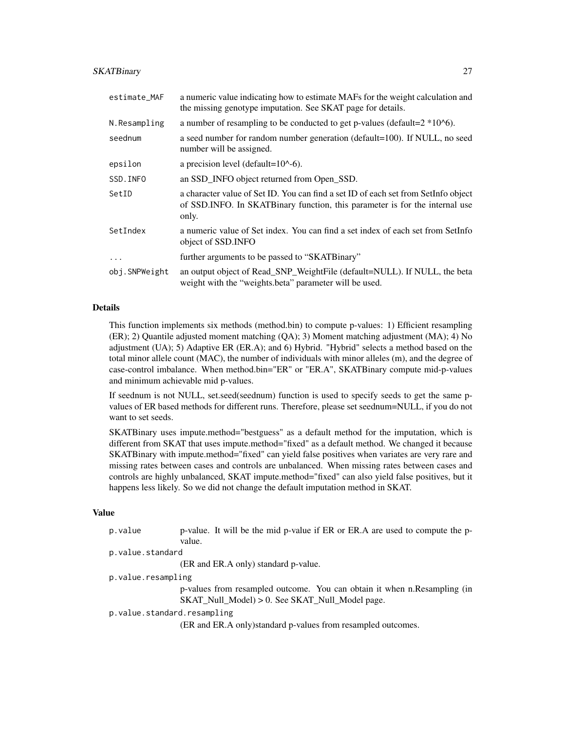#### SKATBinary 27

| estimate_MAF  | a numeric value indicating how to estimate MAFs for the weight calculation and<br>the missing genotype imputation. See SKAT page for details.                               |
|---------------|-----------------------------------------------------------------------------------------------------------------------------------------------------------------------------|
| N.Resampling  | a number of resampling to be conducted to get p-values (default= $2*10^6$ ).                                                                                                |
| seednum       | a seed number for random number generation (default=100). If NULL, no seed<br>number will be assigned.                                                                      |
| epsilon       | a precision level (default= $10^{\circ}$ -6).                                                                                                                               |
| SSD. INFO     | an SSD_INFO object returned from Open_SSD.                                                                                                                                  |
| SetID         | a character value of Set ID. You can find a set ID of each set from SetInfo object<br>of SSD. INFO. In SKATBinary function, this parameter is for the internal use<br>only. |
| SetIndex      | a numeric value of Set index. You can find a set index of each set from SetInfo<br>object of SSD. INFO                                                                      |
| $\ddots$ .    | further arguments to be passed to "SKATBinary"                                                                                                                              |
| obj.SNPWeight | an output object of Read_SNP_WeightFile (default=NULL). If NULL, the beta<br>weight with the "weights.beta" parameter will be used.                                         |

#### Details

This function implements six methods (method.bin) to compute p-values: 1) Efficient resampling (ER); 2) Quantile adjusted moment matching (QA); 3) Moment matching adjustment (MA); 4) No adjustment (UA); 5) Adaptive ER (ER.A); and 6) Hybrid. "Hybrid" selects a method based on the total minor allele count (MAC), the number of individuals with minor alleles (m), and the degree of case-control imbalance. When method.bin="ER" or "ER.A", SKATBinary compute mid-p-values and minimum achievable mid p-values.

If seednum is not NULL, set.seed(seednum) function is used to specify seeds to get the same pvalues of ER based methods for different runs. Therefore, please set seednum=NULL, if you do not want to set seeds.

SKATBinary uses impute.method="bestguess" as a default method for the imputation, which is different from SKAT that uses impute.method="fixed" as a default method. We changed it because SKATBinary with impute.method="fixed" can yield false positives when variates are very rare and missing rates between cases and controls are unbalanced. When missing rates between cases and controls are highly unbalanced, SKAT impute.method="fixed" can also yield false positives, but it happens less likely. So we did not change the default imputation method in SKAT.

#### Value

| p.value |        |  |  |  | p-value. It will be the mid p-value if ER or ER.A are used to compute the p- |  |
|---------|--------|--|--|--|------------------------------------------------------------------------------|--|
|         | value. |  |  |  |                                                                              |  |

```
p.value.standard
```
(ER and ER.A only) standard p-value.

p.value.resampling

p-values from resampled outcome. You can obtain it when n.Resampling (in SKAT\_Null\_Model) > 0. See SKAT\_Null\_Model page.

p.value.standard.resampling

(ER and ER.A only)standard p-values from resampled outcomes.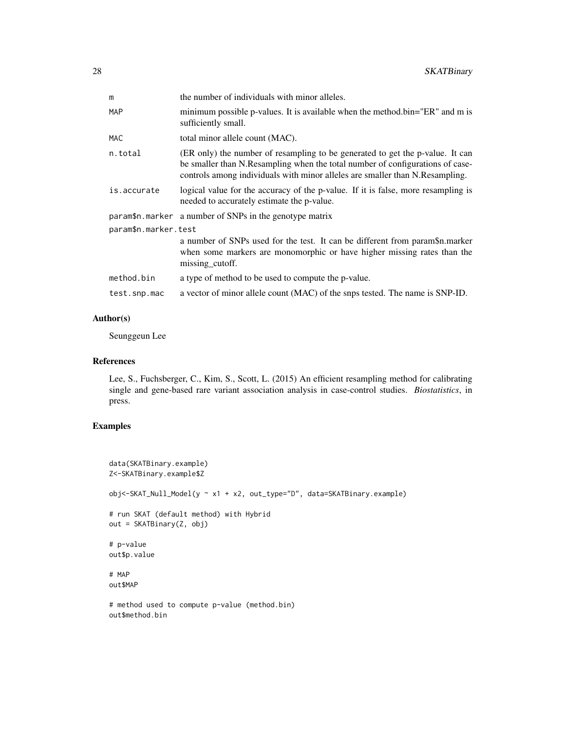| the number of individuals with minor alleles.                                                                                                                                                                                                  |  |  |
|------------------------------------------------------------------------------------------------------------------------------------------------------------------------------------------------------------------------------------------------|--|--|
| minimum possible p-values. It is available when the method.bin="ER" and m is<br>sufficiently small.                                                                                                                                            |  |  |
| total minor allele count (MAC).                                                                                                                                                                                                                |  |  |
| (ER only) the number of resampling to be generated to get the p-value. It can<br>be smaller than N.Resampling when the total number of configurations of case-<br>controls among individuals with minor alleles are smaller than N.Resampling. |  |  |
| logical value for the accuracy of the p-value. If it is false, more resampling is<br>needed to accurately estimate the p-value.                                                                                                                |  |  |
| param\$n.marker a number of SNPs in the genotype matrix                                                                                                                                                                                        |  |  |
| param\$n.marker.test                                                                                                                                                                                                                           |  |  |
| a number of SNPs used for the test. It can be different from param\$n.marker<br>when some markers are monomorphic or have higher missing rates than the<br>missing_cutoff.                                                                     |  |  |
| a type of method to be used to compute the p-value.                                                                                                                                                                                            |  |  |
| a vector of minor allele count (MAC) of the snps tested. The name is SNP-ID.                                                                                                                                                                   |  |  |
|                                                                                                                                                                                                                                                |  |  |

### Author(s)

Seunggeun Lee

#### References

Lee, S., Fuchsberger, C., Kim, S., Scott, L. (2015) An efficient resampling method for calibrating single and gene-based rare variant association analysis in case-control studies. *Biostatistics*, in press.

# Examples

```
data(SKATBinary.example)
Z<-SKATBinary.example$Z
obj<-SKAT_Null_Model(y ~ x1 + x2, out_type="D", data=SKATBinary.example)
# run SKAT (default method) with Hybrid
out = SKATBinary(Z, obj)
# p-value
out$p.value
# MAP
out$MAP
# method used to compute p-value (method.bin)
out$method.bin
```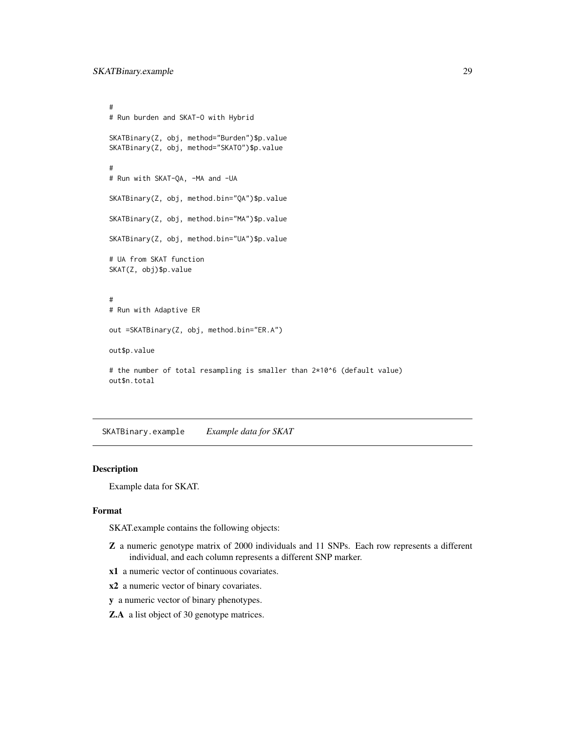```
#
# Run burden and SKAT-O with Hybrid
SKATBinary(Z, obj, method="Burden")$p.value
SKATBinary(Z, obj, method="SKATO")$p.value
#
# Run with SKAT-QA, -MA and -UA
SKATBinary(Z, obj, method.bin="QA")$p.value
SKATBinary(Z, obj, method.bin="MA")$p.value
SKATBinary(Z, obj, method.bin="UA")$p.value
# UA from SKAT function
SKAT(Z, obj)$p.value
#
# Run with Adaptive ER
out =SKATBinary(Z, obj, method.bin="ER.A")
out$p.value
# the number of total resampling is smaller than 2*10^6 (default value)
out$n.total
```
SKATBinary.example *Example data for SKAT*

#### Description

Example data for SKAT.

#### Format

SKAT.example contains the following objects:

- Z a numeric genotype matrix of 2000 individuals and 11 SNPs. Each row represents a different individual, and each column represents a different SNP marker.
- x1 a numeric vector of continuous covariates.
- x2 a numeric vector of binary covariates.
- y a numeric vector of binary phenotypes.
- Z.A a list object of 30 genotype matrices.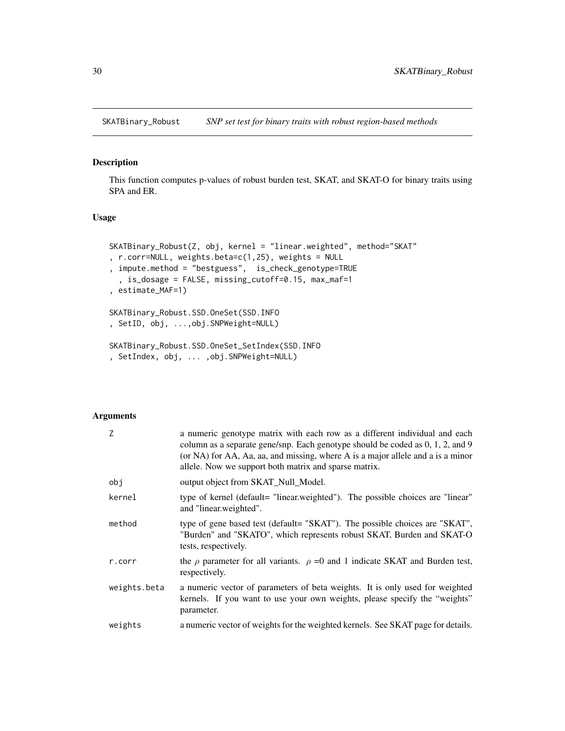<span id="page-29-0"></span>SKATBinary\_Robust *SNP set test for binary traits with robust region-based methods*

# Description

This function computes p-values of robust burden test, SKAT, and SKAT-O for binary traits using SPA and ER.

#### Usage

```
SKATBinary_Robust(Z, obj, kernel = "linear.weighted", method="SKAT"
, r.corr=NULL, weights.beta=c(1,25), weights = NULL
, impute.method = "bestguess", is_check_genotype=TRUE
  , is_dosage = FALSE, missing_cutoff=0.15, max_maf=1
, estimate_MAF=1)
SKATBinary_Robust.SSD.OneSet(SSD.INFO
, SetID, obj, ...,obj.SNPWeight=NULL)
SKATBinary_Robust.SSD.OneSet_SetIndex(SSD.INFO
, SetIndex, obj, ... ,obj.SNPWeight=NULL)
```
# Arguments

| Z            | a numeric genotype matrix with each row as a different individual and each<br>column as a separate gene/snp. Each genotype should be coded as 0, 1, 2, and 9<br>(or NA) for AA, Aa, aa, and missing, where A is a major allele and a is a minor<br>allele. Now we support both matrix and sparse matrix. |
|--------------|----------------------------------------------------------------------------------------------------------------------------------------------------------------------------------------------------------------------------------------------------------------------------------------------------------|
| obj          | output object from SKAT_Null_Model.                                                                                                                                                                                                                                                                      |
| kernel       | type of kernel (default= "linear.weighted"). The possible choices are "linear"<br>and "linear.weighted".                                                                                                                                                                                                 |
| method       | type of gene based test (default= "SKAT"). The possible choices are "SKAT",<br>"Burden" and "SKATO", which represents robust SKAT, Burden and SKAT-O<br>tests, respectively.                                                                                                                             |
| r.corr       | the $\rho$ parameter for all variants. $\rho = 0$ and 1 indicate SKAT and Burden test,<br>respectively.                                                                                                                                                                                                  |
| weights.beta | a numeric vector of parameters of beta weights. It is only used for weighted<br>kernels. If you want to use your own weights, please specify the "weights"<br>parameter.                                                                                                                                 |
| weights      | a numeric vector of weights for the weighted kernels. See SKAT page for details.                                                                                                                                                                                                                         |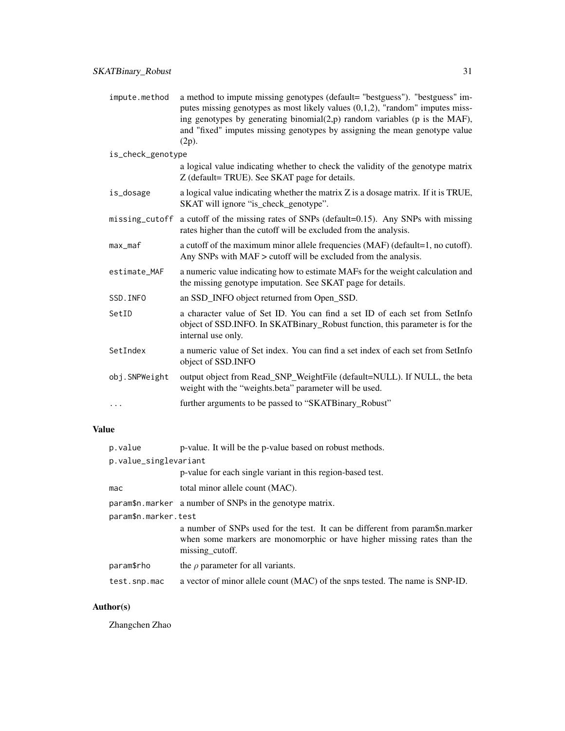| impute.method     | a method to impute missing genotypes (default= "bestguess"). "bestguess" im-<br>putes missing genotypes as most likely values $(0,1,2)$ , "random" imputes miss-<br>ing genotypes by generating binomial $(2,p)$ random variables (p is the MAF),<br>and "fixed" imputes missing genotypes by assigning the mean genotype value<br>(2p). |
|-------------------|------------------------------------------------------------------------------------------------------------------------------------------------------------------------------------------------------------------------------------------------------------------------------------------------------------------------------------------|
| is_check_genotype |                                                                                                                                                                                                                                                                                                                                          |
|                   | a logical value indicating whether to check the validity of the genotype matrix<br>Z (default= TRUE). See SKAT page for details.                                                                                                                                                                                                         |
| is_dosage         | a logical value indicating whether the matrix Z is a dosage matrix. If it is TRUE,<br>SKAT will ignore "is_check_genotype".                                                                                                                                                                                                              |
|                   | missing_cutoff a cutoff of the missing rates of SNPs (default=0.15). Any SNPs with missing<br>rates higher than the cutoff will be excluded from the analysis.                                                                                                                                                                           |
| max maf           | a cutoff of the maximum minor allele frequencies (MAF) (default=1, no cutoff).<br>Any SNPs with MAF > cutoff will be excluded from the analysis.                                                                                                                                                                                         |
| estimate_MAF      | a numeric value indicating how to estimate MAFs for the weight calculation and<br>the missing genotype imputation. See SKAT page for details.                                                                                                                                                                                            |
| SSD. INFO         | an SSD INFO object returned from Open SSD.                                                                                                                                                                                                                                                                                               |
| SetID             | a character value of Set ID. You can find a set ID of each set from SetInfo<br>object of SSD.INFO. In SKATBinary_Robust function, this parameter is for the<br>internal use only.                                                                                                                                                        |
| SetIndex          | a numeric value of Set index. You can find a set index of each set from SetInfo<br>object of SSD.INFO                                                                                                                                                                                                                                    |
| obj.SNPWeight     | output object from Read_SNP_WeightFile (default=NULL). If NULL, the beta<br>weight with the "weights.beta" parameter will be used.                                                                                                                                                                                                       |
| .                 | further arguments to be passed to "SKATBinary_Robust"                                                                                                                                                                                                                                                                                    |

# Value

| p.value               | p-value. It will be the p-value based on robust methods.                                                                                                                   |  |  |  |
|-----------------------|----------------------------------------------------------------------------------------------------------------------------------------------------------------------------|--|--|--|
| p.value_singlevariant |                                                                                                                                                                            |  |  |  |
|                       | p-value for each single variant in this region-based test.                                                                                                                 |  |  |  |
| mac                   | total minor allele count (MAC).                                                                                                                                            |  |  |  |
|                       | param\$n.marker a number of SNPs in the genotype matrix.                                                                                                                   |  |  |  |
| param\$n.marker.test  |                                                                                                                                                                            |  |  |  |
|                       | a number of SNPs used for the test. It can be different from param\$n.marker<br>when some markers are monomorphic or have higher missing rates than the<br>missing_cutoff. |  |  |  |
| param\$rho            | the $\rho$ parameter for all variants.                                                                                                                                     |  |  |  |
| test.snp.mac          | a vector of minor allele count (MAC) of the snps tested. The name is SNP-ID.                                                                                               |  |  |  |

# Author(s)

Zhangchen Zhao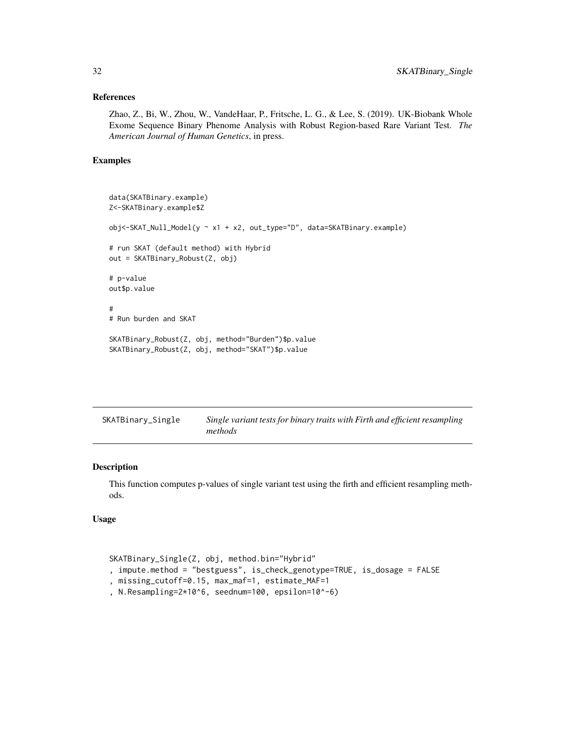#### <span id="page-31-0"></span>References

Zhao, Z., Bi, W., Zhou, W., VandeHaar, P., Fritsche, L. G., & Lee, S. (2019). UK-Biobank Whole Exome Sequence Binary Phenome Analysis with Robust Region-based Rare Variant Test. *The American Journal of Human Genetics*, in press.

#### Examples

```
data(SKATBinary.example)
Z<-SKATBinary.example$Z
obj<-SKAT_Null_Model(y ~ x1 + x2, out_type="D", data=SKATBinary.example)
# run SKAT (default method) with Hybrid
out = SKATBinary_Robust(Z, obj)
# p-value
out$p.value
#
# Run burden and SKAT
SKATBinary_Robust(Z, obj, method="Burden")$p.value
SKATBinary_Robust(Z, obj, method="SKAT")$p.value
```

| SKATBinary_Single | Single variant tests for binary traits with Firth and efficient resampling |
|-------------------|----------------------------------------------------------------------------|
|                   | methods                                                                    |

#### Description

This function computes p-values of single variant test using the firth and efficient resampling methods.

#### Usage

```
SKATBinary_Single(Z, obj, method.bin="Hybrid"
, impute.method = "bestguess", is_check_genotype=TRUE, is_dosage = FALSE
, missing_cutoff=0.15, max_maf=1, estimate_MAF=1
, N.Resampling=2*10^6, seednum=100, epsilon=10^-6)
```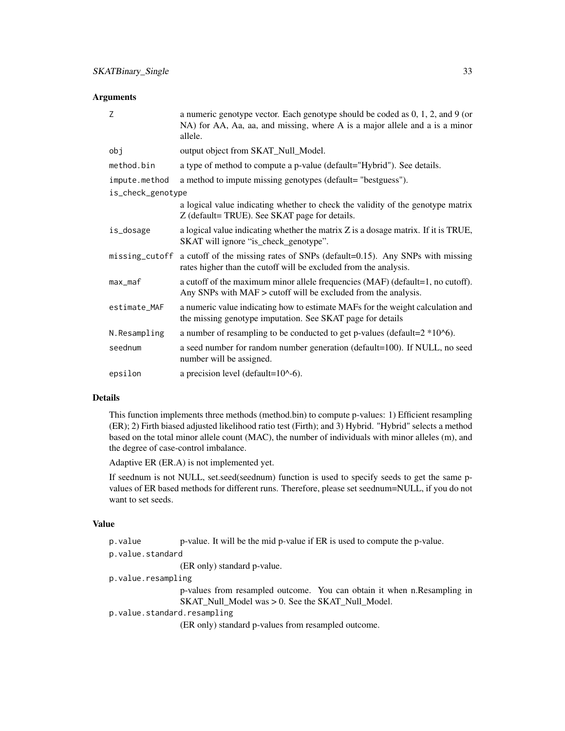#### **Arguments**

| Z                 | a numeric genotype vector. Each genotype should be coded as $0, 1, 2$ , and $9$ (or<br>NA) for AA, Aa, aa, and missing, where A is a major allele and a is a minor<br>allele. |  |  |
|-------------------|-------------------------------------------------------------------------------------------------------------------------------------------------------------------------------|--|--|
| obj               | output object from SKAT_Null_Model.                                                                                                                                           |  |  |
| method.bin        | a type of method to compute a p-value (default="Hybrid"). See details.                                                                                                        |  |  |
| impute.method     | a method to impute missing genotypes (default= "bestguess").                                                                                                                  |  |  |
| is_check_genotype |                                                                                                                                                                               |  |  |
|                   | a logical value indicating whether to check the validity of the genotype matrix<br>Z (default= TRUE). See SKAT page for details.                                              |  |  |
| is_dosage         | a logical value indicating whether the matrix Z is a dosage matrix. If it is TRUE,<br>SKAT will ignore "is_check_genotype".                                                   |  |  |
| missing_cutoff    | a cutoff of the missing rates of SNPs (default=0.15). Any SNPs with missing<br>rates higher than the cutoff will be excluded from the analysis.                               |  |  |
| $max_m$           | a cutoff of the maximum minor allele frequencies (MAF) (default=1, no cutoff).<br>Any SNPs with MAF > cutoff will be excluded from the analysis.                              |  |  |
| estimate_MAF      | a numeric value indicating how to estimate MAFs for the weight calculation and<br>the missing genotype imputation. See SKAT page for details                                  |  |  |
| N.Resampling      | a number of resampling to be conducted to get p-values (default= $2*106$ ).                                                                                                   |  |  |
| seednum           | a seed number for random number generation (default=100). If NULL, no seed<br>number will be assigned.                                                                        |  |  |
| epsilon           | a precision level (default= $10^{\circ}$ -6).                                                                                                                                 |  |  |

#### Details

This function implements three methods (method.bin) to compute p-values: 1) Efficient resampling (ER); 2) Firth biased adjusted likelihood ratio test (Firth); and 3) Hybrid. "Hybrid" selects a method based on the total minor allele count (MAC), the number of individuals with minor alleles (m), and the degree of case-control imbalance.

Adaptive ER (ER.A) is not implemented yet.

If seednum is not NULL, set.seed(seednum) function is used to specify seeds to get the same pvalues of ER based methods for different runs. Therefore, please set seednum=NULL, if you do not want to set seeds.

#### Value

p.value p-value. It will be the mid p-value if ER is used to compute the p-value.

p.value.standard

(ER only) standard p-value.

p.value.resampling

p-values from resampled outcome. You can obtain it when n.Resampling in SKAT\_Null\_Model was > 0. See the SKAT\_Null\_Model.

p.value.standard.resampling

(ER only) standard p-values from resampled outcome.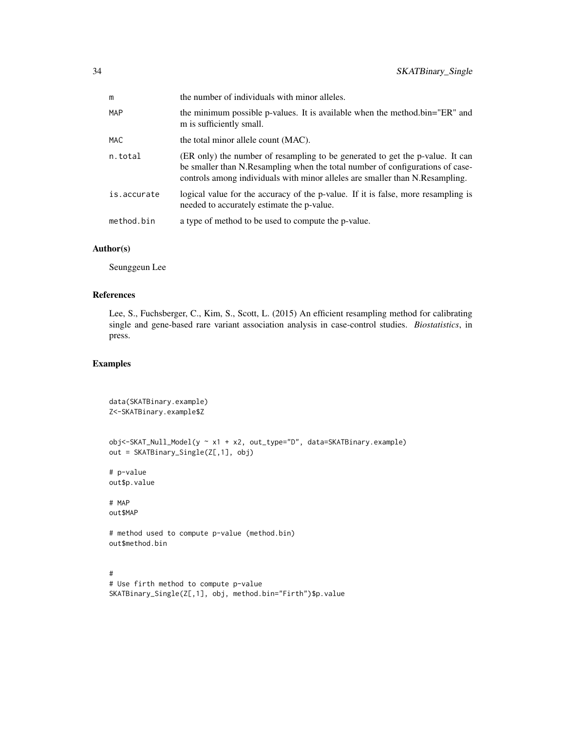| m           | the number of individuals with minor alleles.                                                                                                                                                                                                  |
|-------------|------------------------------------------------------------------------------------------------------------------------------------------------------------------------------------------------------------------------------------------------|
| MAP         | the minimum possible p-values. It is available when the method.bin="ER" and<br>m is sufficiently small.                                                                                                                                        |
| <b>MAC</b>  | the total minor allele count (MAC).                                                                                                                                                                                                            |
| n.total     | (ER only) the number of resampling to be generated to get the p-value. It can<br>be smaller than N.Resampling when the total number of configurations of case-<br>controls among individuals with minor alleles are smaller than N.Resampling. |
| is.accurate | logical value for the accuracy of the p-value. If it is false, more resampling is<br>needed to accurately estimate the p-value.                                                                                                                |
| method.bin  | a type of method to be used to compute the p-value.                                                                                                                                                                                            |

#### Author(s)

Seunggeun Lee

# References

Lee, S., Fuchsberger, C., Kim, S., Scott, L. (2015) An efficient resampling method for calibrating single and gene-based rare variant association analysis in case-control studies. *Biostatistics*, in press.

#### Examples

```
data(SKATBinary.example)
Z<-SKATBinary.example$Z
obj<-SKAT_Null_Model(y ~ x1 + x2, out_type="D", data=SKATBinary.example)
out = SKATBinary_Single(Z[,1], obj)
# p-value
out$p.value
# MAP
out$MAP
# method used to compute p-value (method.bin)
out$method.bin
#
# Use firth method to compute p-value
SKATBinary_Single(Z[,1], obj, method.bin="Firth")$p.value
```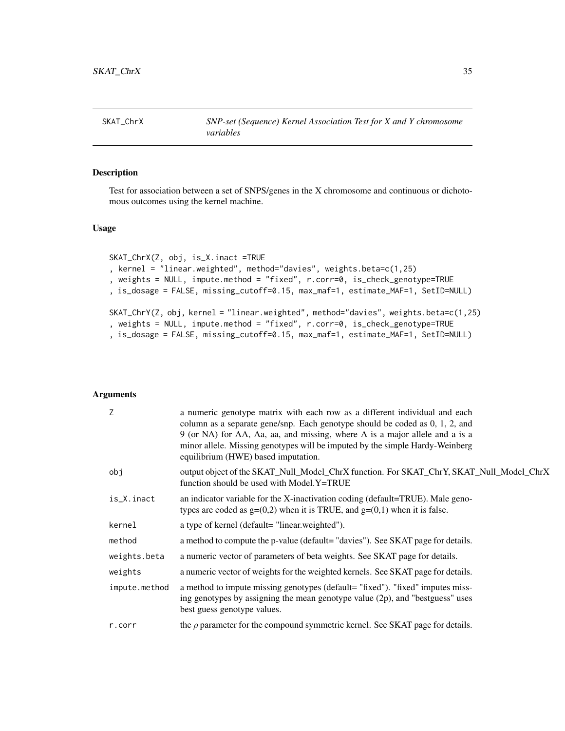<span id="page-34-0"></span>

Test for association between a set of SNPS/genes in the X chromosome and continuous or dichotomous outcomes using the kernel machine.

# Usage

```
SKAT_ChrX(Z, obj, is_X.inact =TRUE
, kernel = "linear.weighted", method="davies", weights.beta=c(1,25)
, weights = NULL, impute.method = "fixed", r.corr=0, is_check_genotype=TRUE
, is_dosage = FALSE, missing_cutoff=0.15, max_maf=1, estimate_MAF=1, SetID=NULL)
SKAT_ChrY(Z, obj, kernel = "linear.weighted", method="davies", weights.beta=c(1,25)
, weights = NULL, impute.method = "fixed", r.corr=0, is_check_genotype=TRUE
, is_dosage = FALSE, missing_cutoff=0.15, max_maf=1, estimate_MAF=1, SetID=NULL)
```
#### Arguments

| Z             | a numeric genotype matrix with each row as a different individual and each<br>column as a separate gene/snp. Each genotype should be coded as $0, 1, 2$ , and<br>9 (or NA) for AA, Aa, aa, and missing, where A is a major allele and a is a<br>minor allele. Missing genotypes will be imputed by the simple Hardy-Weinberg<br>equilibrium (HWE) based imputation. |
|---------------|---------------------------------------------------------------------------------------------------------------------------------------------------------------------------------------------------------------------------------------------------------------------------------------------------------------------------------------------------------------------|
| obj           | output object of the SKAT_Null_Model_ChrX function. For SKAT_ChrY, SKAT_Null_Model_ChrX<br>function should be used with Model.Y=TRUE                                                                                                                                                                                                                                |
| is_X.inact    | an indicator variable for the X-inactivation coding (default=TRUE). Male geno-<br>types are coded as $g=(0,2)$ when it is TRUE, and $g=(0,1)$ when it is false.                                                                                                                                                                                                     |
| kernel        | a type of kernel (default= "linear.weighted").                                                                                                                                                                                                                                                                                                                      |
| method        | a method to compute the p-value (default= "davies"). See SKAT page for details.                                                                                                                                                                                                                                                                                     |
| weights.beta  | a numeric vector of parameters of beta weights. See SKAT page for details.                                                                                                                                                                                                                                                                                          |
| weights       | a numeric vector of weights for the weighted kernels. See SKAT page for details.                                                                                                                                                                                                                                                                                    |
| impute.method | a method to impute missing genotypes (default= "fixed"). "fixed" imputes miss-<br>ing genotypes by assigning the mean genotype value $(2p)$ , and "bestguess" uses<br>best guess genotype values.                                                                                                                                                                   |
| r.corr        | the $\rho$ parameter for the compound symmetric kernel. See SKAT page for details.                                                                                                                                                                                                                                                                                  |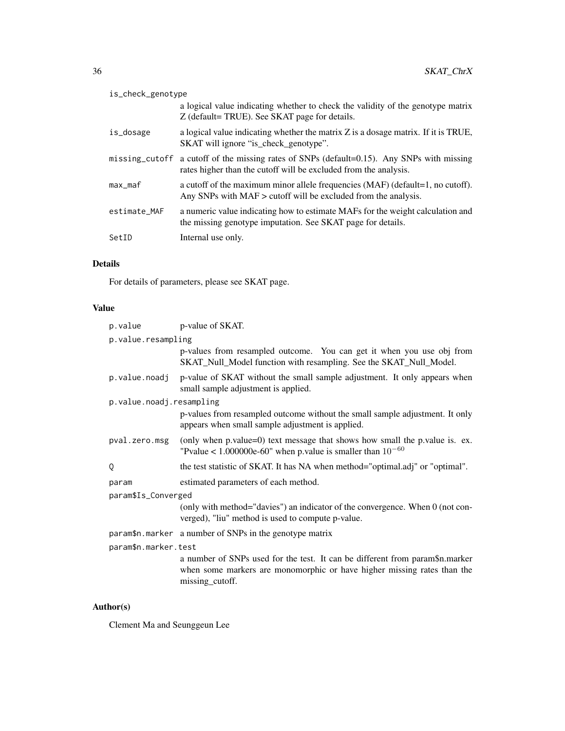| is_check_genotype |                                                                                                                                                                |  |
|-------------------|----------------------------------------------------------------------------------------------------------------------------------------------------------------|--|
|                   | a logical value indicating whether to check the validity of the genotype matrix<br>Z (default= TRUE). See SKAT page for details.                               |  |
| is_dosage         | a logical value indicating whether the matrix Z is a dosage matrix. If it is TRUE,<br>SKAT will ignore "is_check_genotype".                                    |  |
|                   | missing_cutoff a cutoff of the missing rates of SNPs (default=0.15). Any SNPs with missing<br>rates higher than the cutoff will be excluded from the analysis. |  |
| max maf           | a cutoff of the maximum minor allele frequencies (MAF) (default=1, no cutoff).<br>Any SNPs with $MAF$ $>$ cutoff will be excluded from the analysis.           |  |
| estimate_MAF      | a numeric value indicating how to estimate MAFs for the weight calculation and<br>the missing genotype imputation. See SKAT page for details.                  |  |
| SetID             | Internal use only.                                                                                                                                             |  |

# Details

For details of parameters, please see SKAT page.

# Value

| p.value                  | p-value of SKAT.                                                                                                                                                           |  |
|--------------------------|----------------------------------------------------------------------------------------------------------------------------------------------------------------------------|--|
| p.value.resampling       |                                                                                                                                                                            |  |
|                          | p-values from resampled outcome. You can get it when you use obj from<br>SKAT_Null_Model function with resampling. See the SKAT_Null_Model.                                |  |
| p.value.noadj            | p-value of SKAT without the small sample adjustment. It only appears when<br>small sample adjustment is applied.                                                           |  |
| p.value.noadj.resampling |                                                                                                                                                                            |  |
|                          | p-values from resampled outcome without the small sample adjustment. It only<br>appears when small sample adjustment is applied.                                           |  |
| pval.zero.msg            | (only when p.value=0) text message that shows how small the p.value is. ex.<br>"Pvalue < 1.000000e-60" when p.value is smaller than $10^{-60}$                             |  |
| Q                        | the test statistic of SKAT. It has NA when method="optimal.adj" or "optimal".                                                                                              |  |
| param                    | estimated parameters of each method.                                                                                                                                       |  |
| param\$Is_Converged      |                                                                                                                                                                            |  |
|                          | (only with method="davies") an indicator of the convergence. When 0 (not con-<br>verged), "liu" method is used to compute p-value.                                         |  |
|                          | param\$n.marker a number of SNPs in the genotype matrix                                                                                                                    |  |
| param\$n.marker.test     |                                                                                                                                                                            |  |
|                          | a number of SNPs used for the test. It can be different from param\$n.marker<br>when some markers are monomorphic or have higher missing rates than the<br>missing_cutoff. |  |

# Author(s)

Clement Ma and Seunggeun Lee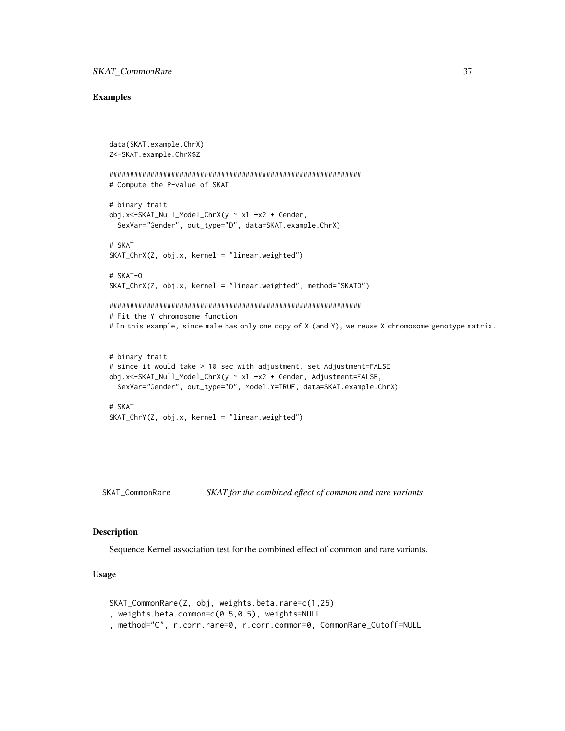#### <span id="page-36-0"></span>Examples

```
data(SKAT.example.ChrX)
Z<-SKAT.example.ChrX$Z
#############################################################
# Compute the P-value of SKAT
# binary trait
obj.x<-SKAT_Null_Model_ChrX(y ~ x1 +x2 + Gender,
  SexVar="Gender", out_type="D", data=SKAT.example.ChrX)
# SKAT
SKAT_ChrX(Z, obj.x, kernel = "linear.weighted")# SKAT-O
SKAT_ChrX(Z, obj.x, kernel = "linear.weighted", method="SKATO")
#############################################################
# Fit the Y chromosome function
# In this example, since male has only one copy of X (and Y), we reuse X chromosome genotype matrix.
# binary trait
# since it would take > 10 sec with adjustment, set Adjustment=FALSE
obj.x<-SKAT_Null_Model_ChrX(y ~ x1 +x2 + Gender, Adjustment=FALSE,
  SexVar="Gender", out_type="D", Model.Y=TRUE, data=SKAT.example.ChrX)
# SKAT
SKAT_ChrY(Z, obj.x, kernel = "linear.weighted")
```
SKAT\_CommonRare *SKAT for the combined effect of common and rare variants*

# Description

Sequence Kernel association test for the combined effect of common and rare variants.

#### Usage

```
SKAT_CommonRare(Z, obj, weights.beta.rare=c(1,25)
, weights.beta.common=c(0.5,0.5), weights=NULL
, method="C", r.corr.rare=0, r.corr.common=0, CommonRare_Cutoff=NULL
```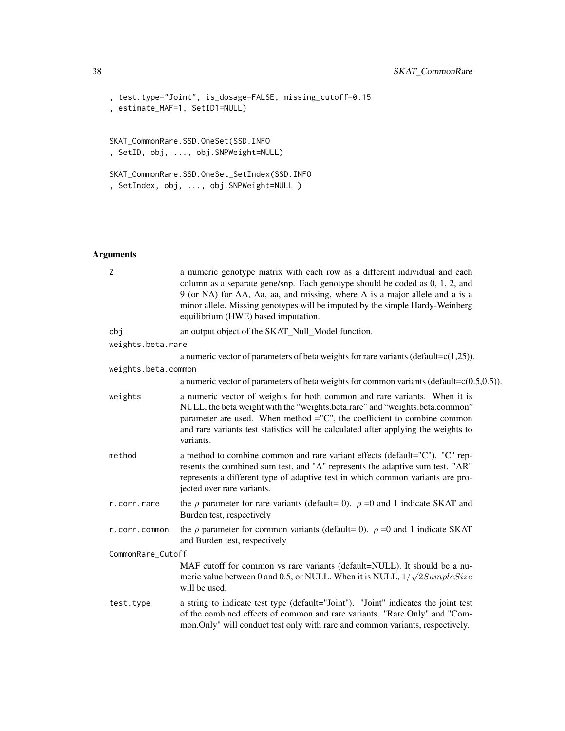```
, test.type="Joint", is_dosage=FALSE, missing_cutoff=0.15
, estimate_MAF=1, SetID1=NULL)
SKAT_CommonRare.SSD.OneSet(SSD.INFO
, SetID, obj, ..., obj.SNPWeight=NULL)
SKAT_CommonRare.SSD.OneSet_SetIndex(SSD.INFO
, SetIndex, obj, ..., obj.SNPWeight=NULL )
```
# Arguments

| Z                   | a numeric genotype matrix with each row as a different individual and each<br>column as a separate gene/snp. Each genotype should be coded as $0, 1, 2$ , and<br>9 (or NA) for AA, Aa, aa, and missing, where A is a major allele and a is a<br>minor allele. Missing genotypes will be imputed by the simple Hardy-Weinberg<br>equilibrium (HWE) based imputation. |  |
|---------------------|---------------------------------------------------------------------------------------------------------------------------------------------------------------------------------------------------------------------------------------------------------------------------------------------------------------------------------------------------------------------|--|
| obj                 | an output object of the SKAT_Null_Model function.                                                                                                                                                                                                                                                                                                                   |  |
| weights.beta.rare   |                                                                                                                                                                                                                                                                                                                                                                     |  |
|                     | a numeric vector of parameters of beta weights for rare variants (default= $c(1,25)$ ).                                                                                                                                                                                                                                                                             |  |
| weights.beta.common |                                                                                                                                                                                                                                                                                                                                                                     |  |
|                     | a numeric vector of parameters of beta weights for common variants (default= $c(0.5,0.5)$ ).                                                                                                                                                                                                                                                                        |  |
| weights             | a numeric vector of weights for both common and rare variants. When it is<br>NULL, the beta weight with the "weights.beta.rare" and "weights.beta.common"<br>parameter are used. When method $=$ "C", the coefficient to combine common<br>and rare variants test statistics will be calculated after applying the weights to<br>variants.                          |  |
| method              | a method to combine common and rare variant effects (default="C"). "C" rep-<br>resents the combined sum test, and "A" represents the adaptive sum test. "AR"<br>represents a different type of adaptive test in which common variants are pro-<br>jected over rare variants.                                                                                        |  |
| r.corr.rare         | the $\rho$ parameter for rare variants (default= 0). $\rho$ =0 and 1 indicate SKAT and<br>Burden test, respectively                                                                                                                                                                                                                                                 |  |
| r.corr.common       | the $\rho$ parameter for common variants (default= 0). $\rho$ =0 and 1 indicate SKAT<br>and Burden test, respectively                                                                                                                                                                                                                                               |  |
| CommonRare_Cutoff   |                                                                                                                                                                                                                                                                                                                                                                     |  |
|                     | MAF cutoff for common vs rare variants (default=NULL). It should be a nu-<br>meric value between 0 and 0.5, or NULL. When it is NULL, $1/\sqrt{2SampleSize}$<br>will be used.                                                                                                                                                                                       |  |
| test.type           | a string to indicate test type (default="Joint"). "Joint" indicates the joint test<br>of the combined effects of common and rare variants. "Rare.Only" and "Com-<br>mon. Only" will conduct test only with rare and common variants, respectively.                                                                                                                  |  |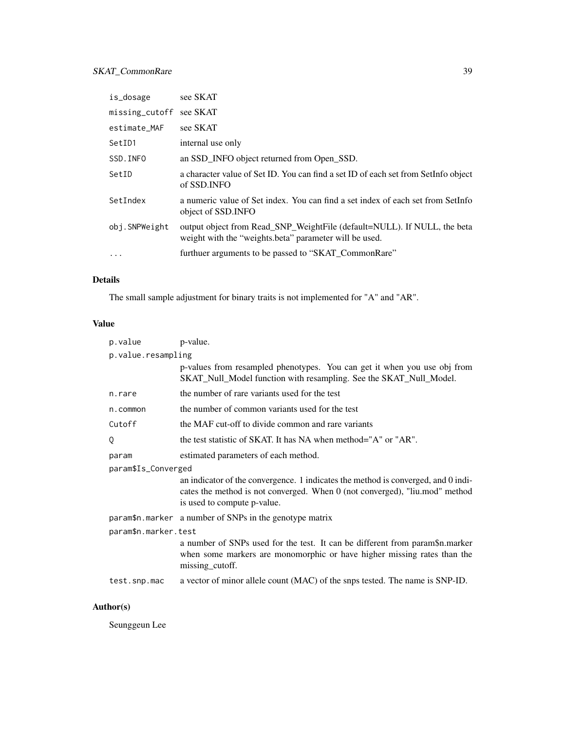# SKAT\_CommonRare 39

| is_dosage      | see SKAT                                                                                                                           |
|----------------|------------------------------------------------------------------------------------------------------------------------------------|
| missing_cutoff | see SKAT                                                                                                                           |
| estimate_MAF   | see SKAT                                                                                                                           |
| SetID1         | internal use only                                                                                                                  |
| SSD.INFO       | an SSD_INFO object returned from Open_SSD.                                                                                         |
| SetID          | a character value of Set ID. You can find a set ID of each set from SetInfo object<br>of SSD.INFO                                  |
| SetIndex       | a numeric value of Set index. You can find a set index of each set from SetInfo<br>object of SSD.INFO                              |
| obj.SNPWeight  | output object from Read_SNP_WeightFile (default=NULL). If NULL, the beta<br>weight with the "weights beta" parameter will be used. |
| .              | furthuer arguments to be passed to "SKAT_CommonRare"                                                                               |

# Details

The small sample adjustment for binary traits is not implemented for "A" and "AR".

# Value

| p.value              | p-value.                                                                                                                                                                                        |  |
|----------------------|-------------------------------------------------------------------------------------------------------------------------------------------------------------------------------------------------|--|
| p.value.resampling   |                                                                                                                                                                                                 |  |
|                      | p-values from resampled phenotypes. You can get it when you use obj from<br>SKAT_Null_Model function with resampling. See the SKAT_Null_Model.                                                  |  |
| n.rare               | the number of rare variants used for the test                                                                                                                                                   |  |
| n.common             | the number of common variants used for the test                                                                                                                                                 |  |
| Cutoff               | the MAF cut-off to divide common and rare variants                                                                                                                                              |  |
| Q                    | the test statistic of SKAT. It has NA when method="A" or "AR".                                                                                                                                  |  |
| param                | estimated parameters of each method.                                                                                                                                                            |  |
| param\$Is_Converged  |                                                                                                                                                                                                 |  |
|                      | an indicator of the convergence. 1 indicates the method is converged, and 0 indi-<br>cates the method is not converged. When 0 (not converged), "liu.mod" method<br>is used to compute p-value. |  |
|                      | param\$n.marker a number of SNPs in the genotype matrix                                                                                                                                         |  |
| param\$n.marker.test |                                                                                                                                                                                                 |  |
|                      | a number of SNPs used for the test. It can be different from param\$n.marker<br>when some markers are monomorphic or have higher missing rates than the<br>missing_cutoff.                      |  |
| test.snp.mac         | a vector of minor allele count (MAC) of the snps tested. The name is SNP-ID.                                                                                                                    |  |

# Author(s)

Seunggeun Lee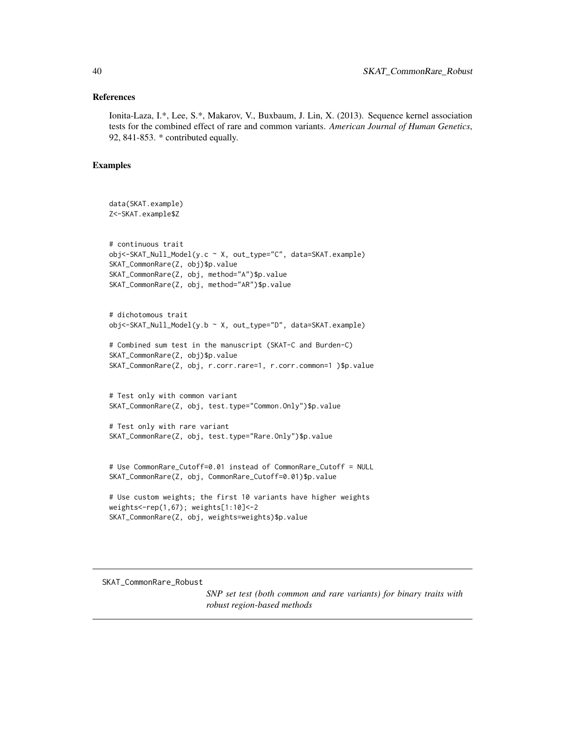#### <span id="page-39-0"></span>References

Ionita-Laza, I.\*, Lee, S.\*, Makarov, V., Buxbaum, J. Lin, X. (2013). Sequence kernel association tests for the combined effect of rare and common variants. *American Journal of Human Genetics*, 92, 841-853. \* contributed equally.

#### Examples

```
data(SKAT.example)
Z<-SKAT.example$Z
# continuous trait
obj<-SKAT_Null_Model(y.c ~ X, out_type="C", data=SKAT.example)
SKAT_CommonRare(Z, obj)$p.value
SKAT_CommonRare(Z, obj, method="A")$p.value
SKAT_CommonRare(Z, obj, method="AR")$p.value
# dichotomous trait
obj<-SKAT_Null_Model(y.b ~ X, out_type="D", data=SKAT.example)
# Combined sum test in the manuscript (SKAT-C and Burden-C)
SKAT_CommonRare(Z, obj)$p.value
SKAT_CommonRare(Z, obj, r.corr.rare=1, r.corr.common=1 )$p.value
# Test only with common variant
SKAT_CommonRare(Z, obj, test.type="Common.Only")$p.value
# Test only with rare variant
SKAT_CommonRare(Z, obj, test.type="Rare.Only")$p.value
# Use CommonRare_Cutoff=0.01 instead of CommonRare_Cutoff = NULL
SKAT_CommonRare(Z, obj, CommonRare_Cutoff=0.01)$p.value
# Use custom weights; the first 10 variants have higher weights
weights<-rep(1,67); weights[1:10]<-2
```

```
SKAT_CommonRare(Z, obj, weights=weights)$p.value
```
SKAT\_CommonRare\_Robust

*SNP set test (both common and rare variants) for binary traits with robust region-based methods*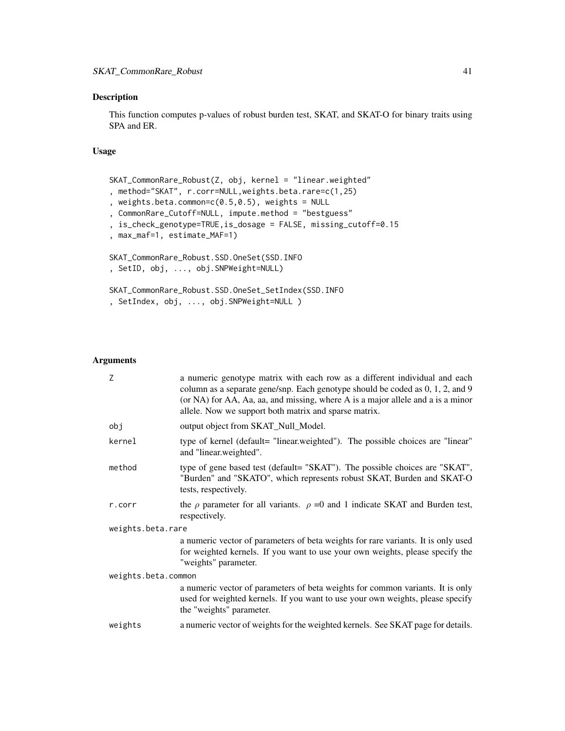This function computes p-values of robust burden test, SKAT, and SKAT-O for binary traits using SPA and ER.

#### Usage

```
SKAT_CommonRare_Robust(Z, obj, kernel = "linear.weighted"
, method="SKAT", r.corr=NULL,weights.beta.rare=c(1,25)
, weights.beta.common=c(0.5, 0.5), weights = NULL
, CommonRare_Cutoff=NULL, impute.method = "bestguess"
, is_check_genotype=TRUE,is_dosage = FALSE, missing_cutoff=0.15
, max_maf=1, estimate_MAF=1)
SKAT_CommonRare_Robust.SSD.OneSet(SSD.INFO
, SetID, obj, ..., obj.SNPWeight=NULL)
SKAT_CommonRare_Robust.SSD.OneSet_SetIndex(SSD.INFO
, SetIndex, obj, ..., obj.SNPWeight=NULL )
```
#### Arguments

| Z                   | a numeric genotype matrix with each row as a different individual and each<br>column as a separate gene/snp. Each genotype should be coded as 0, 1, 2, and 9<br>(or NA) for AA, Aa, aa, and missing, where A is a major allele and a is a minor<br>allele. Now we support both matrix and sparse matrix. |  |
|---------------------|----------------------------------------------------------------------------------------------------------------------------------------------------------------------------------------------------------------------------------------------------------------------------------------------------------|--|
| obj                 | output object from SKAT_Null_Model.                                                                                                                                                                                                                                                                      |  |
| kernel              | type of kernel (default= "linear.weighted"). The possible choices are "linear"<br>and "linear.weighted".                                                                                                                                                                                                 |  |
| method              | type of gene based test (default= "SKAT"). The possible choices are "SKAT",<br>"Burden" and "SKATO", which represents robust SKAT, Burden and SKAT-O<br>tests, respectively.                                                                                                                             |  |
| r.corr              | the $\rho$ parameter for all variants. $\rho = 0$ and 1 indicate SKAT and Burden test,<br>respectively.                                                                                                                                                                                                  |  |
| weights.beta.rare   |                                                                                                                                                                                                                                                                                                          |  |
|                     | a numeric vector of parameters of beta weights for rare variants. It is only used<br>for weighted kernels. If you want to use your own weights, please specify the<br>"weights" parameter.                                                                                                               |  |
| weights.beta.common |                                                                                                                                                                                                                                                                                                          |  |
|                     | a numeric vector of parameters of beta weights for common variants. It is only<br>used for weighted kernels. If you want to use your own weights, please specify<br>the "weights" parameter.                                                                                                             |  |
| weights             | a numeric vector of weights for the weighted kernels. See SKAT page for details.                                                                                                                                                                                                                         |  |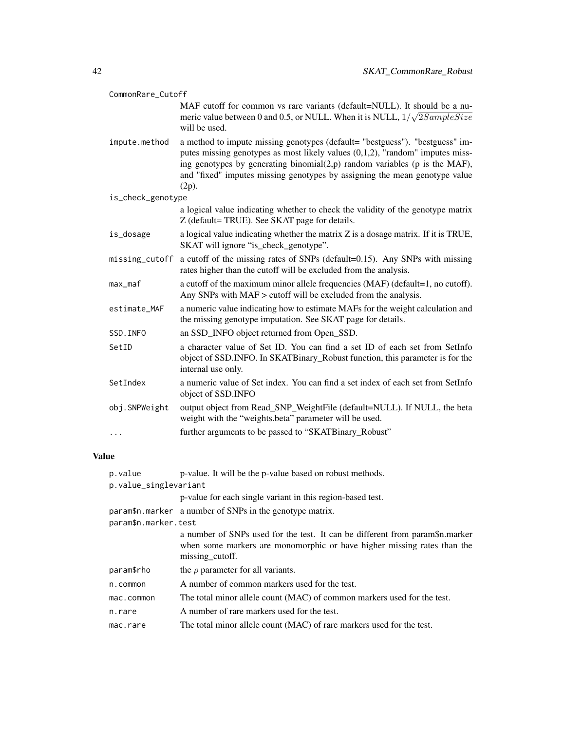|              | CommonRare_Cutoff                |                                                                                                                                                                                                                                                                                                                                          |  |
|--------------|----------------------------------|------------------------------------------------------------------------------------------------------------------------------------------------------------------------------------------------------------------------------------------------------------------------------------------------------------------------------------------|--|
|              |                                  | MAF cutoff for common vs rare variants (default=NULL). It should be a nu-<br>meric value between 0 and 0.5, or NULL. When it is NULL, $1/\sqrt{2SampleSize}$<br>will be used.                                                                                                                                                            |  |
|              | impute.method                    | a method to impute missing genotypes (default= "bestguess"). "bestguess" im-<br>putes missing genotypes as most likely values $(0,1,2)$ , "random" imputes miss-<br>ing genotypes by generating binomial $(2,p)$ random variables (p is the MAF),<br>and "fixed" imputes missing genotypes by assigning the mean genotype value<br>(2p). |  |
|              | is_check_genotype                |                                                                                                                                                                                                                                                                                                                                          |  |
|              |                                  | a logical value indicating whether to check the validity of the genotype matrix<br>Z (default= TRUE). See SKAT page for details.                                                                                                                                                                                                         |  |
|              | is_dosage                        | a logical value indicating whether the matrix Z is a dosage matrix. If it is TRUE,<br>SKAT will ignore "is_check_genotype".                                                                                                                                                                                                              |  |
|              | missing_cutoff                   | a cutoff of the missing rates of SNPs (default=0.15). Any SNPs with missing<br>rates higher than the cutoff will be excluded from the analysis.                                                                                                                                                                                          |  |
|              | max_maf                          | a cutoff of the maximum minor allele frequencies (MAF) (default=1, no cutoff).<br>Any SNPs with MAF > cutoff will be excluded from the analysis.                                                                                                                                                                                         |  |
|              | estimate_MAF                     | a numeric value indicating how to estimate MAFs for the weight calculation and<br>the missing genotype imputation. See SKAT page for details.                                                                                                                                                                                            |  |
|              | SSD. INFO                        | an SSD_INFO object returned from Open_SSD.                                                                                                                                                                                                                                                                                               |  |
|              | SetID                            | a character value of Set ID. You can find a set ID of each set from SetInfo<br>object of SSD.INFO. In SKATBinary_Robust function, this parameter is for the<br>internal use only.                                                                                                                                                        |  |
|              | SetIndex                         | a numeric value of Set index. You can find a set index of each set from SetInfo<br>object of SSD.INFO                                                                                                                                                                                                                                    |  |
|              | obj.SNPWeight                    | output object from Read_SNP_WeightFile (default=NULL). If NULL, the beta<br>weight with the "weights.beta" parameter will be used.                                                                                                                                                                                                       |  |
|              | .                                | further arguments to be passed to "SKATBinary_Robust"                                                                                                                                                                                                                                                                                    |  |
| <b>Value</b> |                                  |                                                                                                                                                                                                                                                                                                                                          |  |
|              | p.value<br>p.value_singlevariant | p-value. It will be the p-value based on robust methods.                                                                                                                                                                                                                                                                                 |  |
|              |                                  | p-value for each single variant in this region-based test.                                                                                                                                                                                                                                                                               |  |
|              | param\$n.marker.test             | param\$n.marker a number of SNPs in the genotype matrix.                                                                                                                                                                                                                                                                                 |  |

a number of SNPs used for the test. It can be different from param\$n.marker when some markers are monomorphic or have higher missing rates than the missing\_cutoff.

- param\$rho the  $\rho$  parameter for all variants.
- n.common A number of common markers used for the test.
- mac.common The total minor allele count (MAC) of common markers used for the test.
- n.rare A number of rare markers used for the test.
- mac.rare The total minor allele count (MAC) of rare markers used for the test.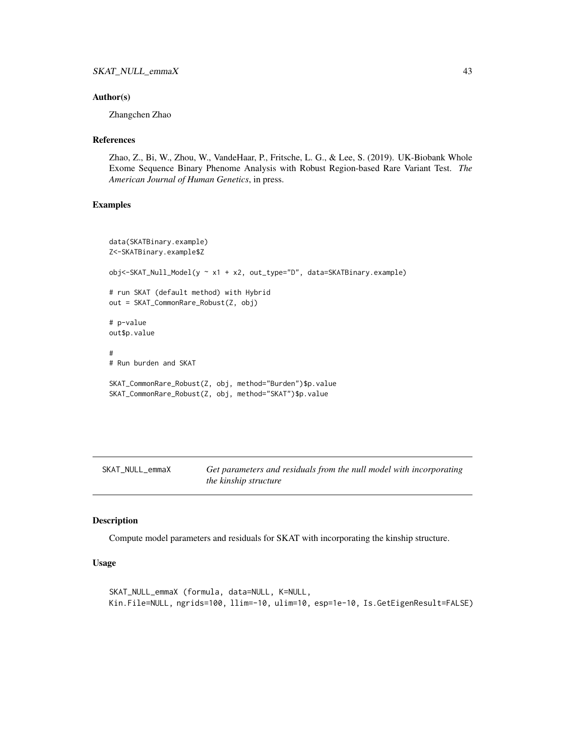#### <span id="page-42-0"></span>Author(s)

Zhangchen Zhao

#### **References**

Zhao, Z., Bi, W., Zhou, W., VandeHaar, P., Fritsche, L. G., & Lee, S. (2019). UK-Biobank Whole Exome Sequence Binary Phenome Analysis with Robust Region-based Rare Variant Test. *The American Journal of Human Genetics*, in press.

#### Examples

```
data(SKATBinary.example)
Z<-SKATBinary.example$Z
obj<-SKAT_Null_Model(y ~ x1 + x2, out_type="D", data=SKATBinary.example)
# run SKAT (default method) with Hybrid
out = SKAT_CommonRare_Robust(Z, obj)
# p-value
out$p.value
#
# Run burden and SKAT
SKAT_CommonRare_Robust(Z, obj, method="Burden")$p.value
SKAT_CommonRare_Robust(Z, obj, method="SKAT")$p.value
```
SKAT\_NULL\_emmaX *Get parameters and residuals from the null model with incorporating the kinship structure*

#### Description

Compute model parameters and residuals for SKAT with incorporating the kinship structure.

# Usage

SKAT\_NULL\_emmaX (formula, data=NULL, K=NULL, Kin.File=NULL, ngrids=100, llim=-10, ulim=10, esp=1e-10, Is.GetEigenResult=FALSE)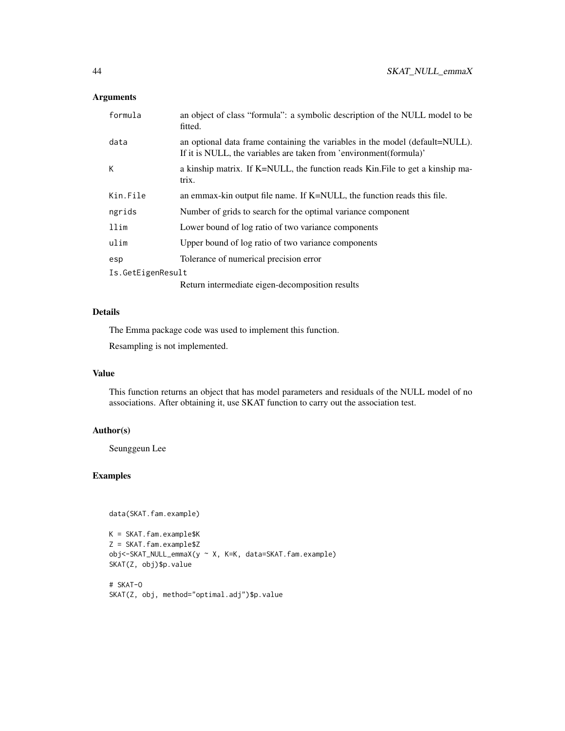# Arguments

| formula           | an object of class "formula": a symbolic description of the NULL model to be<br>fitted.                                                            |  |
|-------------------|----------------------------------------------------------------------------------------------------------------------------------------------------|--|
| data              | an optional data frame containing the variables in the model (default=NULL).<br>If it is NULL, the variables are taken from 'environment(formula)' |  |
| К                 | a kinship matrix. If K=NULL, the function reads Kin. File to get a kinship ma-<br>trix.                                                            |  |
| Kin.File          | an emmax-kin output file name. If K=NULL, the function reads this file.                                                                            |  |
| ngrids            | Number of grids to search for the optimal variance component                                                                                       |  |
| llim              | Lower bound of log ratio of two variance components                                                                                                |  |
| ulim              | Upper bound of log ratio of two variance components                                                                                                |  |
| esp               | Tolerance of numerical precision error                                                                                                             |  |
| Is.GetEigenResult |                                                                                                                                                    |  |
|                   | Return intermediate eigen-decomposition results                                                                                                    |  |

#### Details

The Emma package code was used to implement this function.

Resampling is not implemented.

#### Value

This function returns an object that has model parameters and residuals of the NULL model of no associations. After obtaining it, use SKAT function to carry out the association test.

# Author(s)

Seunggeun Lee

# Examples

```
data(SKAT.fam.example)
```

```
K = SKAT.fam.example$K
Z = SKAT.fam.example$Z
obj<-SKAT_NULL_emmaX(y ~ X, K=K, data=SKAT.fam.example)
SKAT(Z, obj)$p.value
```

```
# SKAT-O
SKAT(Z, obj, method="optimal.adj")$p.value
```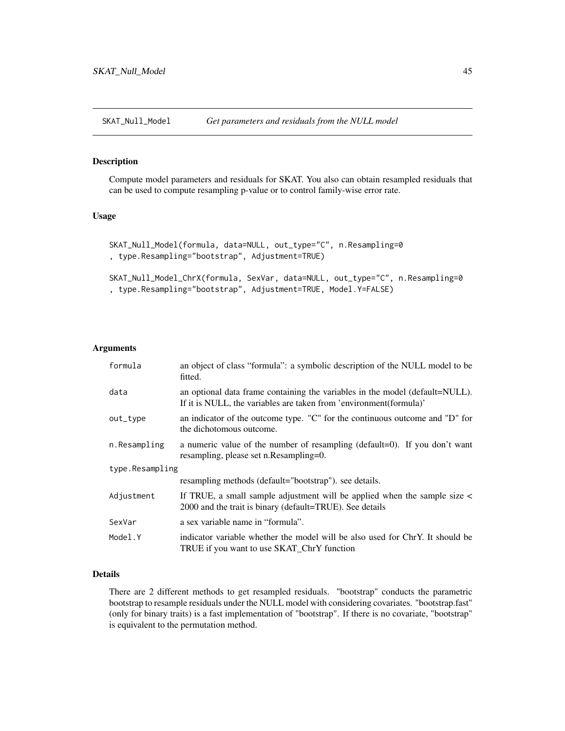<span id="page-44-0"></span>

Compute model parameters and residuals for SKAT. You also can obtain resampled residuals that can be used to compute resampling p-value or to control family-wise error rate.

# Usage

```
SKAT_Null_Model(formula, data=NULL, out_type="C", n.Resampling=0
, type.Resampling="bootstrap", Adjustment=TRUE)
```

```
SKAT_Null_Model_ChrX(formula, SexVar, data=NULL, out_type="C", n.Resampling=0
, type.Resampling="bootstrap", Adjustment=TRUE, Model.Y=FALSE)
```
#### Arguments

| formula         | an object of class "formula": a symbolic description of the NULL model to be<br>fitted.                                                            |  |
|-----------------|----------------------------------------------------------------------------------------------------------------------------------------------------|--|
| data            | an optional data frame containing the variables in the model (default=NULL).<br>If it is NULL, the variables are taken from 'environment(formula)' |  |
| out_type        | an indicator of the outcome type. "C" for the continuous outcome and "D" for<br>the dichotomous outcome.                                           |  |
| n.Resampling    | a numeric value of the number of resampling (default=0). If you don't want<br>resampling, please set n. Resampling=0.                              |  |
| type.Resampling |                                                                                                                                                    |  |
|                 | resampling methods (default="bootstrap"). see details.                                                                                             |  |
| Adjustment      | If TRUE, a small sample adjustment will be applied when the sample size <<br>2000 and the trait is binary (default=TRUE). See details              |  |
| SexVar          | a sex variable name in "formula".                                                                                                                  |  |
| Model.Y         | indicator variable whether the model will be also used for ChrY. It should be<br>TRUE if you want to use SKAT ChrY function                        |  |

# Details

There are 2 different methods to get resampled residuals. "bootstrap" conducts the parametric bootstrap to resample residuals under the NULL model with considering covariates. "bootstrap.fast" (only for binary traits) is a fast implementation of "bootstrap". If there is no covariate, "bootstrap" is equivalent to the permutation method.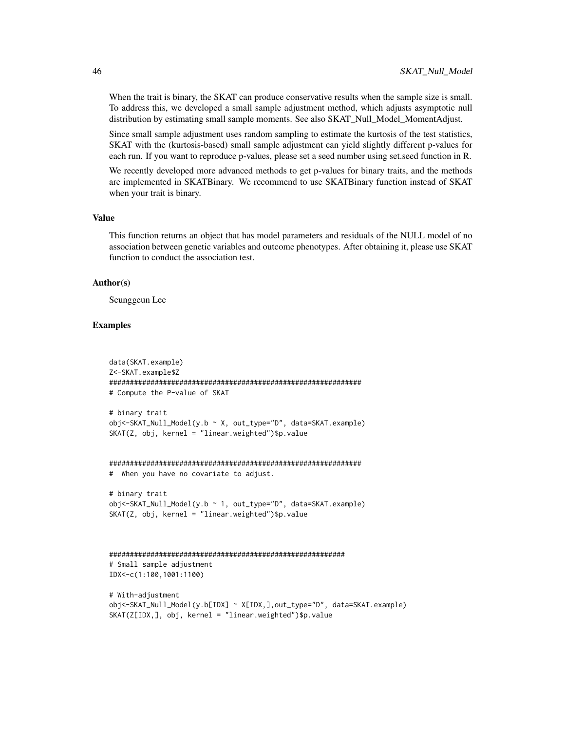When the trait is binary, the SKAT can produce conservative results when the sample size is small. To address this, we developed a small sample adjustment method, which adjusts asymptotic null distribution by estimating small sample moments. See also SKAT\_Null\_Model\_MomentAdjust.

Since small sample adjustment uses random sampling to estimate the kurtosis of the test statistics, SKAT with the (kurtosis-based) small sample adjustment can yield slightly different p-values for each run. If you want to reproduce p-values, please set a seed number using set.seed function in R.

We recently developed more advanced methods to get p-values for binary traits, and the methods are implemented in SKATBinary. We recommend to use SKATBinary function instead of SKAT when your trait is binary.

#### Value

This function returns an object that has model parameters and residuals of the NULL model of no association between genetic variables and outcome phenotypes. After obtaining it, please use SKAT function to conduct the association test.

#### Author(s)

Seunggeun Lee

#### Examples

```
data(SKAT.example)
Z<-SKAT.example$Z
#############################################################
# Compute the P-value of SKAT
# binary trait
obj<-SKAT_Null_Model(y.b ~ X, out_type="D", data=SKAT.example)
SKAT(Z, obj, kernel = "linear.weighted")$p.value
#############################################################
# When you have no covariate to adjust.
# binary trait
obj<-SKAT_Null_Model(y.b ~ 1, out_type="D", data=SKAT.example)
SKAT(Z, obj, kernel = "linear.weighted")$p.value
#########################################################
# Small sample adjustment
IDX<-c(1:100,1001:1100)
# With-adjustment
obj<-SKAT_Null_Model(y.b[IDX] ~ X[IDX,],out_type="D", data=SKAT.example)
SKAT(Z[IDX,], obj, kernel = "linear.weighted")$p.value
```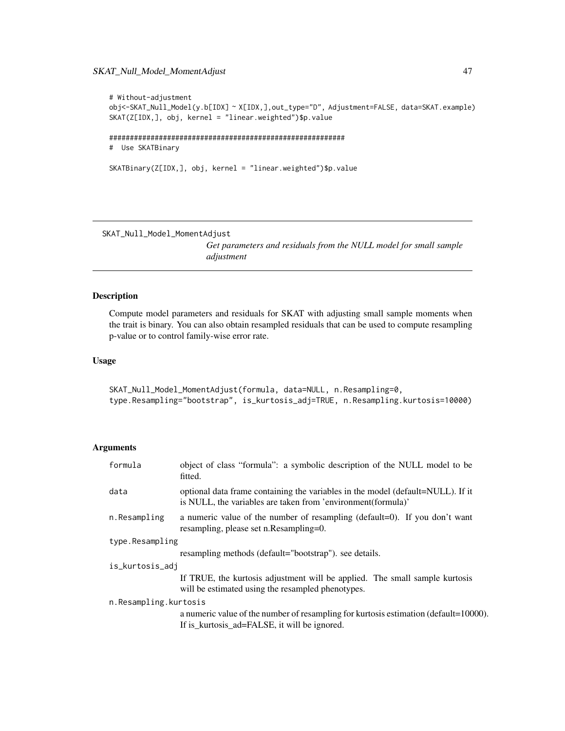# <span id="page-46-0"></span>SKAT\_Null\_Model\_MomentAdjust 47

```
# Without-adjustment
obj<-SKAT_Null_Model(y.b[IDX] ~ X[IDX,],out_type="D", Adjustment=FALSE, data=SKAT.example)
SKAT(Z[IDX,], obj, kernel = "linear.weighted")$p.value
#########################################################
# Use SKATBinary
SKATBinary(Z[IDX,], obj, kernel = "linear.weighted")$p.value
```
SKAT\_Null\_Model\_MomentAdjust

*Get parameters and residuals from the NULL model for small sample adjustment*

## Description

Compute model parameters and residuals for SKAT with adjusting small sample moments when the trait is binary. You can also obtain resampled residuals that can be used to compute resampling p-value or to control family-wise error rate.

# Usage

```
SKAT_Null_Model_MomentAdjust(formula, data=NULL, n.Resampling=0,
type.Resampling="bootstrap", is_kurtosis_adj=TRUE, n.Resampling.kurtosis=10000)
```
#### **Arguments**

| formula               | object of class "formula": a symbolic description of the NULL model to be<br>fitted.                                                            |
|-----------------------|-------------------------------------------------------------------------------------------------------------------------------------------------|
| data                  | optional data frame containing the variables in the model (default=NULL). If it<br>is NULL, the variables are taken from 'environment(formula)' |
| n.Resampling          | a numeric value of the number of resampling (default=0). If you don't want<br>resampling, please set n. Resampling=0.                           |
| type.Resampling       |                                                                                                                                                 |
|                       | resampling methods (default="bootstrap"). see details.                                                                                          |
| is_kurtosis_adj       |                                                                                                                                                 |
|                       | If TRUE, the kurtosis adjustment will be applied. The small sample kurtosis<br>will be estimated using the resampled phenotypes.                |
| n.Resampling.kurtosis |                                                                                                                                                 |
|                       | a numeric value of the number of resampling for kurtosis estimation (default=10000).                                                            |
|                       | If is_kurtosis_ad=FALSE, it will be ignored.                                                                                                    |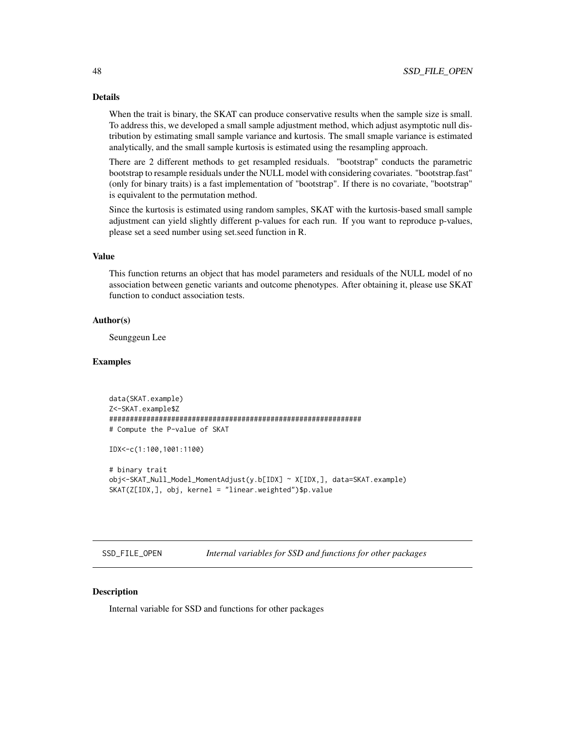#### Details

When the trait is binary, the SKAT can produce conservative results when the sample size is small. To address this, we developed a small sample adjustment method, which adjust asymptotic null distribution by estimating small sample variance and kurtosis. The small smaple variance is estimated analytically, and the small sample kurtosis is estimated using the resampling approach.

There are 2 different methods to get resampled residuals. "bootstrap" conducts the parametric bootstrap to resample residuals under the NULL model with considering covariates. "bootstrap.fast" (only for binary traits) is a fast implementation of "bootstrap". If there is no covariate, "bootstrap" is equivalent to the permutation method.

Since the kurtosis is estimated using random samples, SKAT with the kurtosis-based small sample adjustment can yield slightly different p-values for each run. If you want to reproduce p-values, please set a seed number using set.seed function in R.

#### Value

This function returns an object that has model parameters and residuals of the NULL model of no association between genetic variants and outcome phenotypes. After obtaining it, please use SKAT function to conduct association tests.

# Author(s)

Seunggeun Lee

#### Examples

```
data(SKAT.example)
Z<-SKAT.example$Z
#############################################################
# Compute the P-value of SKAT
IDX<-c(1:100,1001:1100)
# binary trait
obj<-SKAT_Null_Model_MomentAdjust(y.b[IDX] ~ X[IDX,], data=SKAT.example)
SKAT(Z[IDX,], obj, kernel = "linear.weighted")$p.value
```
SSD\_FILE\_OPEN *Internal variables for SSD and functions for other packages*

### **Description**

Internal variable for SSD and functions for other packages

<span id="page-47-0"></span>